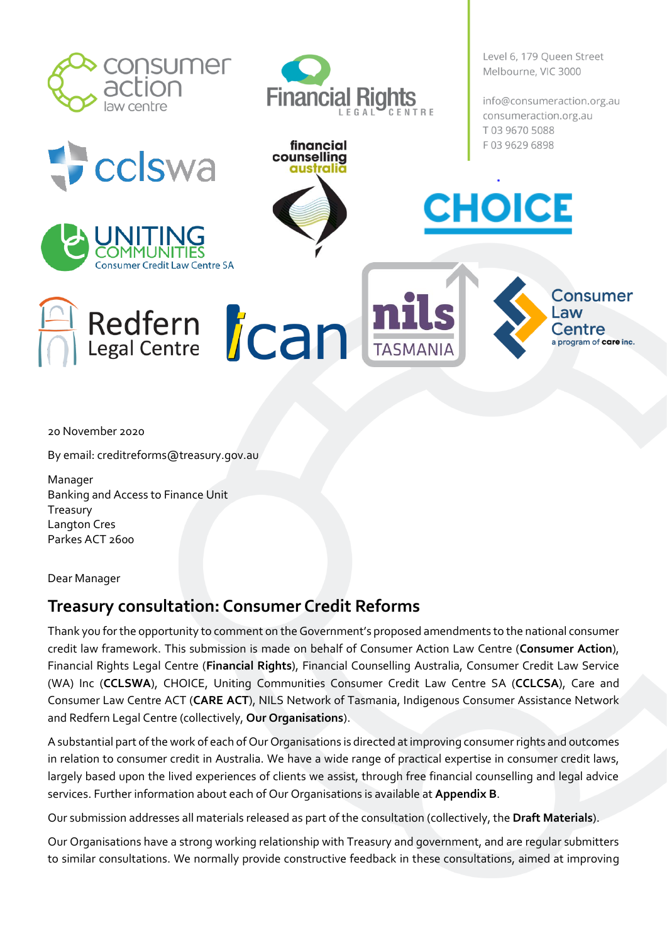

cclswa

aw Centre SA

Redfern *Can* 



financial counselling

australi

Level 6, 179 Queen Street Melbourne, VIC 3000

info@consumeraction.org.au consumeraction.org.au T0396705088 F0396296898

Consumer

Law

Centre a program of care inc.

20 November 2020

By email: creditreforms@treasury.gov.au

Manager Banking and Access to Finance Unit Treasury Langton Cres Parkes ACT 2600

Dear Manager

# **Treasury consultation: Consumer Credit Reforms**

Thank you for the opportunity to comment on the Government's proposed amendments to the national consumer credit law framework. This submission is made on behalf of Consumer Action Law Centre (**Consumer Action**), Financial Rights Legal Centre (**Financial Rights**), Financial Counselling Australia, Consumer Credit Law Service (WA) Inc (**CCLSWA**), CHOICE, Uniting Communities Consumer Credit Law Centre SA (**CCLCSA**), Care and Consumer Law Centre ACT (**CARE ACT**), NILS Network of Tasmania, Indigenous Consumer Assistance Network and Redfern Legal Centre (collectively, **Our Organisations**).

A substantial part of the work of each of Our Organisations is directed at improving consumer rights and outcomes in relation to consumer credit in Australia. We have a wide range of practical expertise in consumer credit laws, largely based upon the lived experiences of clients we assist, through free financial counselling and legal advice services. Further information about each of Our Organisations is available at **Appendix B**.

Our submission addresses all materials released as part of the consultation (collectively, the **Draft Materials**).

Our Organisations have a strong working relationship with Treasury and government, and are regular submitters to similar consultations. We normally provide constructive feedback in these consultations, aimed at improving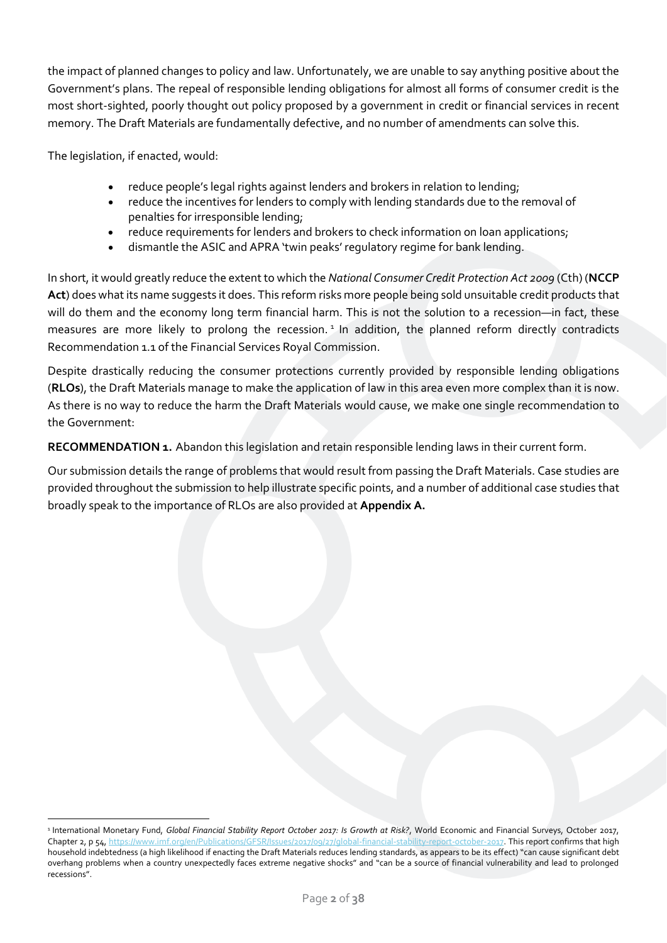the impact of planned changes to policy and law. Unfortunately, we are unable to say anything positive about the Government's plans. The repeal of responsible lending obligations for almost all forms of consumer credit is the most short-sighted, poorly thought out policy proposed by a government in credit or financial services in recent memory. The Draft Materials are fundamentally defective, and no number of amendments can solve this.

The legislation, if enacted, would:

- reduce people's legal rights against lenders and brokers in relation to lending;
- reduce the incentives for lenders to comply with lending standards due to the removal of penalties for irresponsible lending;
- reduce requirements for lenders and brokers to check information on loan applications;
- dismantle the ASIC and APRA 'twin peaks' regulatory regime for bank lending.

In short, it would greatly reduce the extent to which the *National Consumer Credit Protection Act 2009* (Cth) (**NCCP Act**) does what its name suggests it does. This reform risks more people being sold unsuitable credit products that will do them and the economy long term financial harm. This is not the solution to a recession—in fact, these measures are more likely to prolong the recession.<sup>1</sup> In addition, the planned reform directly contradicts Recommendation 1.1 of the Financial Services Royal Commission.

Despite drastically reducing the consumer protections currently provided by responsible lending obligations (**RLOs**), the Draft Materials manage to make the application of law in this area even more complex than it is now. As there is no way to reduce the harm the Draft Materials would cause, we make one single recommendation to the Government:

**RECOMMENDATION 1.** Abandon this legislation and retain responsible lending laws in their current form.

Our submission details the range of problems that would result from passing the Draft Materials. Case studies are provided throughout the submission to help illustrate specific points, and a number of additional case studies that broadly speak to the importance of RLOs are also provided at **Appendix A.**

<sup>1</sup> International Monetary Fund, *Global Financial Stability Report October 2017: Is Growth at Risk?*, World Economic and Financial Surveys, October 2017, Chapter 2, p 54[, https://www.imf.org/en/Publications/GFSR/Issues/2017/09/27/global-financial-stability-report-october-2017.](https://www.imf.org/en/Publications/GFSR/Issues/2017/09/27/global-financial-stability-report-october-2017) This report confirms that high household indebtedness (a high likelihood if enacting the Draft Materials reduces lending standards, as appears to be its effect) "can cause significant debt overhang problems when a country unexpectedly faces extreme negative shocks" and "can be a source of financial vulnerability and lead to prolonged recessions".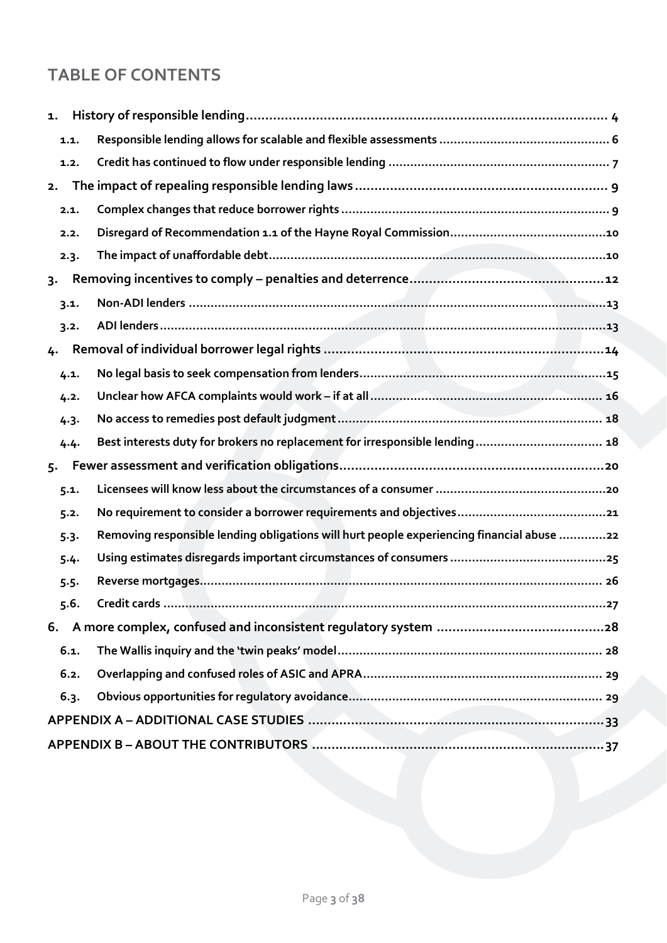# **TABLE OF CONTENTS**

| 1.    |         |                                                                                           |
|-------|---------|-------------------------------------------------------------------------------------------|
|       | 1.1.    |                                                                                           |
|       | 1.2.    |                                                                                           |
| 2.    |         |                                                                                           |
|       | 2.1.    |                                                                                           |
|       | 2.2.    |                                                                                           |
|       | 2.3.    |                                                                                           |
| $3 -$ |         |                                                                                           |
|       | 3.1.    |                                                                                           |
|       | 3.2.    |                                                                                           |
| 4.    |         |                                                                                           |
|       | 4.1.    |                                                                                           |
|       | 4.2.    |                                                                                           |
|       | 4.3.    |                                                                                           |
|       | 4.4.    | Best interests duty for brokers no replacement for irresponsible lending 18               |
| 5.    |         |                                                                                           |
|       | 5.1.    |                                                                                           |
|       | 5.2.    |                                                                                           |
|       | $5-3-$  | Removing responsible lending obligations will hurt people experiencing financial abuse 22 |
|       | 5.4.    |                                                                                           |
|       | $5.5 -$ |                                                                                           |
|       | 5.6.    |                                                                                           |
|       |         |                                                                                           |
|       | 6.1.    |                                                                                           |
|       | 6.2.    |                                                                                           |
|       | 6.3.    |                                                                                           |
|       |         |                                                                                           |
|       |         |                                                                                           |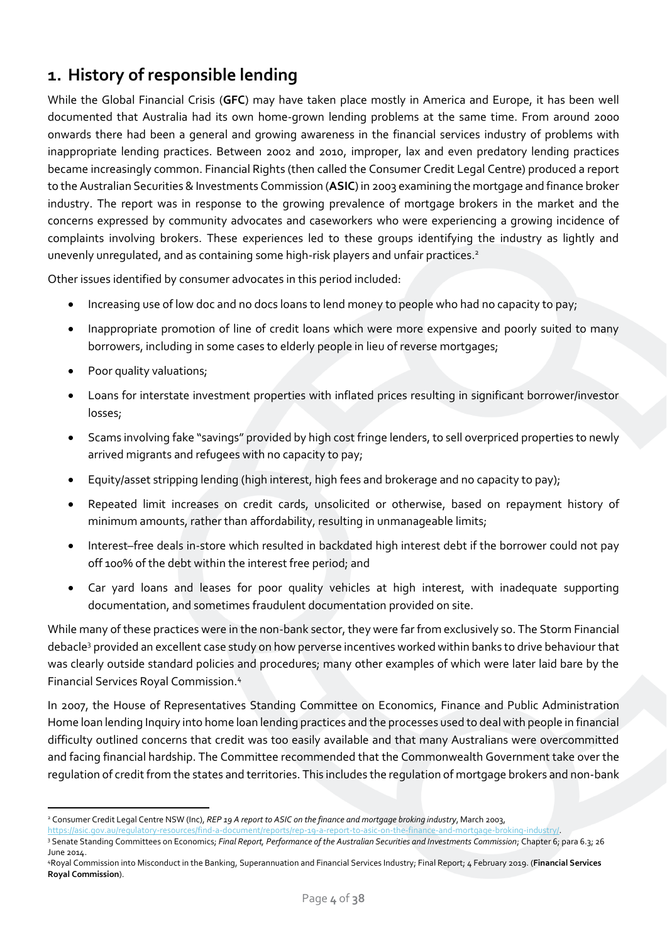# <span id="page-3-0"></span>**1. History of responsible lending**

While the Global Financial Crisis (**GFC**) may have taken place mostly in America and Europe, it has been well documented that Australia had its own home-grown lending problems at the same time. From around 2000 onwards there had been a general and growing awareness in the financial services industry of problems with inappropriate lending practices. Between 2002 and 2010, improper, lax and even predatory lending practices became increasingly common. Financial Rights (then called the Consumer Credit Legal Centre) produced a report to the Australian Securities & Investments Commission (**ASIC**) in 2003 examining the mortgage and finance broker industry. The report was in response to the growing prevalence of mortgage brokers in the market and the concerns expressed by community advocates and caseworkers who were experiencing a growing incidence of complaints involving brokers. These experiences led to these groups identifying the industry as lightly and unevenly unregulated, and as containing some high-risk players and unfair practices.<sup>2</sup>

Other issues identified by consumer advocates in this period included:

- Increasing use of low doc and no docs loans to lend money to people who had no capacity to pay;
- Inappropriate promotion of line of credit loans which were more expensive and poorly suited to many borrowers, including in some cases to elderly people in lieu of reverse mortgages;
- Poor quality valuations;
- Loans for interstate investment properties with inflated prices resulting in significant borrower/investor losses;
- Scams involving fake "savings" provided by high cost fringe lenders, to sell overpriced properties to newly arrived migrants and refugees with no capacity to pay;
- Equity/asset stripping lending (high interest, high fees and brokerage and no capacity to pay);
- Repeated limit increases on credit cards, unsolicited or otherwise, based on repayment history of minimum amounts, rather than affordability, resulting in unmanageable limits;
- Interest–free deals in-store which resulted in backdated high interest debt if the borrower could not pay off 100% of the debt within the interest free period; and
- Car yard loans and leases for poor quality vehicles at high interest, with inadequate supporting documentation, and sometimes fraudulent documentation provided on site.

While many of these practices were in the non-bank sector, they were far from exclusively so. The Storm Financial debacle<sup>3</sup> provided an excellent case study on how perverse incentives worked within banks to drive behaviour that was clearly outside standard policies and procedures; many other examples of which were later laid bare by the Financial Services Royal Commission.<sup>4</sup>

In 2007, the House of Representatives Standing Committee on Economics, Finance and Public Administration Home loan lending Inquiry into home loan lending practices and the processes used to deal with people in financial difficulty outlined concerns that credit was too easily available and that many Australians were overcommitted and facing financial hardship. The Committee recommended that the Commonwealth Government take over the regulation of credit from the states and territories. This includes the regulation of mortgage brokers and non-bank

<sup>2</sup> Consumer Credit Legal Centre NSW (Inc), *REP 19 A report to ASIC on the finance and mortgage broking industry*, March 2003,

[https://asic.gov.au/regulatory-resources/find-a-document/reports/rep-19-a-report-to-asic-on-the-finance-and-mortgage-broking-industry/.](https://asic.gov.au/regulatory-resources/find-a-document/reports/rep-19-a-report-to-asic-on-the-finance-and-mortgage-broking-industry/) <sup>3</sup> Senate Standing Committees on Economics; *Final Report, Performance of the Australian Securities and Investments Commission; Chapter 6; para 6.3; 26* June 2014.

<sup>4</sup>Royal Commission into Misconduct in the Banking, Superannuation and Financial Services Industry; Final Report; 4 February 2019. (**Financial Services Royal Commission**).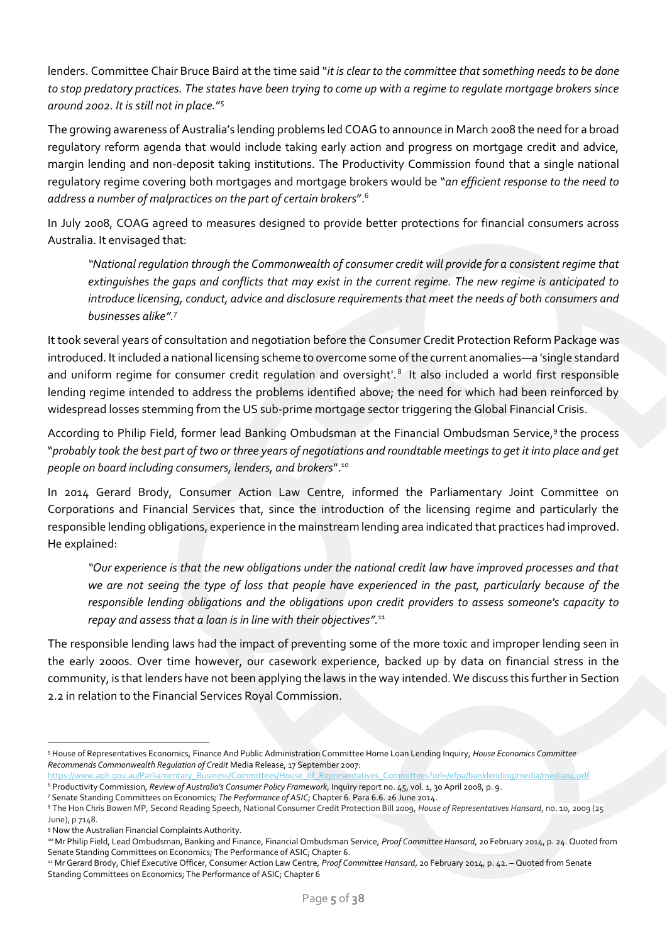lenders. Committee Chair Bruce Baird at the time said "*it is clear to the committee that something needs to be done to stop predatory practices. The states have been trying to come up with a regime to regulate mortgage brokers since around 2002. It is still not in place.*" 5

The growing awareness of Australia's lending problems led COAG to announce in March 2008 the need for a broad regulatory reform agenda that would include taking early action and progress on mortgage credit and advice, margin lending and non-deposit taking institutions. The Productivity Commission found that a single national regulatory regime covering both mortgages and mortgage brokers would be "*an efficient response to the need to address a number of malpractices on the part of certain brokers*". 6

In July 2008, COAG agreed to measures designed to provide better protections for financial consumers across Australia. It envisaged that:

*"National regulation through the Commonwealth of consumer credit will provide for a consistent regime that extinguishes the gaps and conflicts that may exist in the current regime. The new regime is anticipated to introduce licensing, conduct, advice and disclosure requirements that meet the needs of both consumers and businesses alike".* 7

It took several years of consultation and negotiation before the Consumer Credit Protection Reform Package was introduced. It included a national licensing scheme to overcome some of the current anomalies—a 'single standard and uniform regime for consumer credit regulation and oversight'.<sup>8</sup> It also included a world first responsible lending regime intended to address the problems identified above; the need for which had been reinforced by widespread losses stemming from the US sub-prime mortgage sector triggering the Global Financial Crisis.

According to Philip Field, former lead Banking Ombudsman at the Financial Ombudsman Service,<sup>9</sup> the process "*probably took the best part of two or three years of negotiations and roundtable meetings to get it into place and get people on board including consumers, lenders, and brokers*". 10

In 2014 Gerard Brody, Consumer Action Law Centre, informed the Parliamentary Joint Committee on Corporations and Financial Services that, since the introduction of the licensing regime and particularly the responsible lending obligations, experience in the mainstream lending area indicated that practices had improved. He explained:

*"Our experience is that the new obligations under the national credit law have improved processes and that we are not seeing the type of loss that people have experienced in the past, particularly because of the responsible lending obligations and the obligations upon credit providers to assess someone's capacity to repay and assess that a loan is in line with their objectives".*<sup>11</sup>

The responsible lending laws had the impact of preventing some of the more toxic and improper lending seen in the early 2000s. Over time however, our casework experience, backed up by data on financial stress in the community, is that lenders have not been applying the laws in the way intended. We discuss this further in Section 2.2 in relation to the Financial Services Royal Commission.

<sup>7</sup> Senate Standing Committees on Economics; *The Performance of ASIC*; Chapter 6. Para 6.6. 26 June 2014.

<sup>5</sup> House of Representatives Economics, Finance And Public Administration Committee Home Loan Lending Inquiry, *House Economics Committee Recommends Commonwealth Regulation of Credit* Media Release, 17 September 2007:

https://www.aph.gov.au/Parliamentary\_Business/Committees/House\_of\_Representatives\_Committees?url=/efpa/banklending/media/mediao4.pdf <sup>6</sup> Productivity Commission, *Review of Australia's Consumer Policy Framework*, Inquiry report no. 45, vol. 1, 30 April 2008, p. 9.

<sup>8</sup> The Hon Chris Bowen MP, Second Reading Speech, National Consumer Credit Protection Bill 2009, *House of Representatives Hansard*, no. 10, 2009 (25 June), p 7148.

<sup>9</sup> Now the Australian Financial Complaints Authority.

<sup>10</sup> Mr Philip Field, Lead Ombudsman, Banking and Finance, Financial Ombudsman Service, *Proof Committee Hansard*, 20 February 2014, p. 24. Quoted from Senate Standing Committees on Economics; The Performance of ASIC; Chapter 6.

<sup>11</sup> Mr Gerard Brody, Chief Executive Officer, Consumer Action Law Centre, *Proof Committee Hansard*, 20 February 2014, p. 42. – Quoted from Senate Standing Committees on Economics; The Performance of ASIC; Chapter 6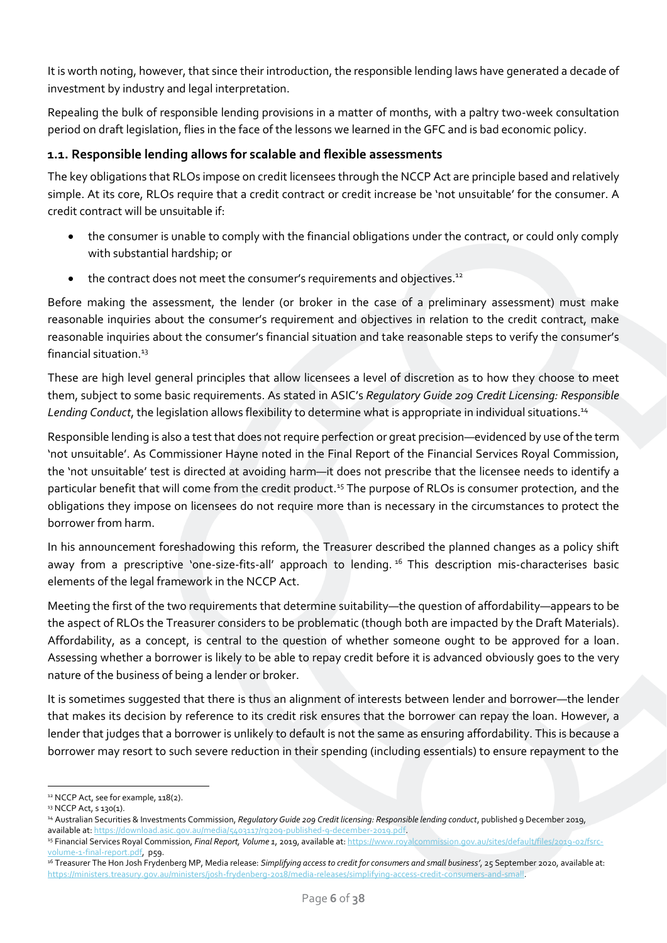It is worth noting, however, that since their introduction, the responsible lending laws have generated a decade of investment by industry and legal interpretation.

Repealing the bulk of responsible lending provisions in a matter of months, with a paltry two-week consultation period on draft legislation, flies in the face of the lessons we learned in the GFC and is bad economic policy.

### <span id="page-5-0"></span>**1.1. Responsible lending allows for scalable and flexible assessments**

The key obligations that RLOs impose on credit licensees through the NCCP Act are principle based and relatively simple. At its core, RLOs require that a credit contract or credit increase be 'not unsuitable' for the consumer. A credit contract will be unsuitable if:

- the consumer is unable to comply with the financial obligations under the contract, or could only comply with substantial hardship; or
- the contract does not meet the consumer's requirements and objectives.<sup>12</sup>

Before making the assessment, the lender (or broker in the case of a preliminary assessment) must make reasonable inquiries about the consumer's requirement and objectives in relation to the credit contract, make reasonable inquiries about the consumer's financial situation and take reasonable steps to verify the consumer's financial situation $13$ 

These are high level general principles that allow licensees a level of discretion as to how they choose to meet them, subject to some basic requirements. As stated in ASIC's *Regulatory Guide 209 Credit Licensing: Responsible Lending Conduct*, the legislation allows flexibility to determine what is appropriate in individual situations.<sup>14</sup>

Responsible lending is also a test that does not require perfection or great precision—evidenced by use of the term 'not unsuitable'. As Commissioner Hayne noted in the Final Report of the Financial Services Royal Commission, the 'not unsuitable' test is directed at avoiding harm—it does not prescribe that the licensee needs to identify a particular benefit that will come from the credit product.<sup>15</sup> The purpose of RLOs is consumer protection, and the obligations they impose on licensees do not require more than is necessary in the circumstances to protect the borrower from harm.

In his announcement foreshadowing this reform, the Treasurer described the planned changes as a policy shift away from a prescriptive 'one-size-fits-all' approach to lending.<sup>16</sup> This description mis-characterises basic elements of the legal framework in the NCCP Act.

Meeting the first of the two requirements that determine suitability—the question of affordability—appears to be the aspect of RLOs the Treasurer considers to be problematic (though both are impacted by the Draft Materials). Affordability, as a concept, is central to the question of whether someone ought to be approved for a loan. Assessing whether a borrower is likely to be able to repay credit before it is advanced obviously goes to the very nature of the business of being a lender or broker.

It is sometimes suggested that there is thus an alignment of interests between lender and borrower—the lender that makes its decision by reference to its credit risk ensures that the borrower can repay the loan. However, a lender that judges that a borrower is unlikely to default is not the same as ensuring affordability. This is because a borrower may resort to such severe reduction in their spending (including essentials) to ensure repayment to the

<sup>&</sup>lt;sup>12</sup> NCCP Act, see for example, 118(2).

<sup>13</sup> NCCP Act, s 130(1).

<sup>&</sup>lt;sup>14</sup> Australian Securities & Investments Commission, Regulatory Guide 209 Credit licensing: Responsible lending conduct, published 9 December 2019, available at[: https://download.asic.gov.au/media/5403117/rg209-published-9-december-2019.pdf.](https://download.asic.gov.au/media/5403117/rg209-published-9-december-2019.pdf)

<sup>15</sup> Financial Services Royal Commission, *Final Report, Volume 1*, 2019, available at[: https://www.royalcommission.gov.au/sites/default/files/2019-02/fsrc](https://www.royalcommission.gov.au/sites/default/files/2019-02/fsrc-volume-1-final-report.pdf)[volume-1-final-report.pdf,](https://www.royalcommission.gov.au/sites/default/files/2019-02/fsrc-volume-1-final-report.pdf) p59.

<sup>16</sup> Treasurer The Hon Josh Frydenberg MP, Media release: *Simplifying access to credit for consumers and small business'*, 25 September 2020, available at: [https://ministers.treasury.gov.au/ministers/josh-frydenberg-2018/media-releases/simplifying-access-credit-consumers-and-small.](https://ministers.treasury.gov.au/ministers/josh-frydenberg-2018/media-releases/simplifying-access-credit-consumers-and-small)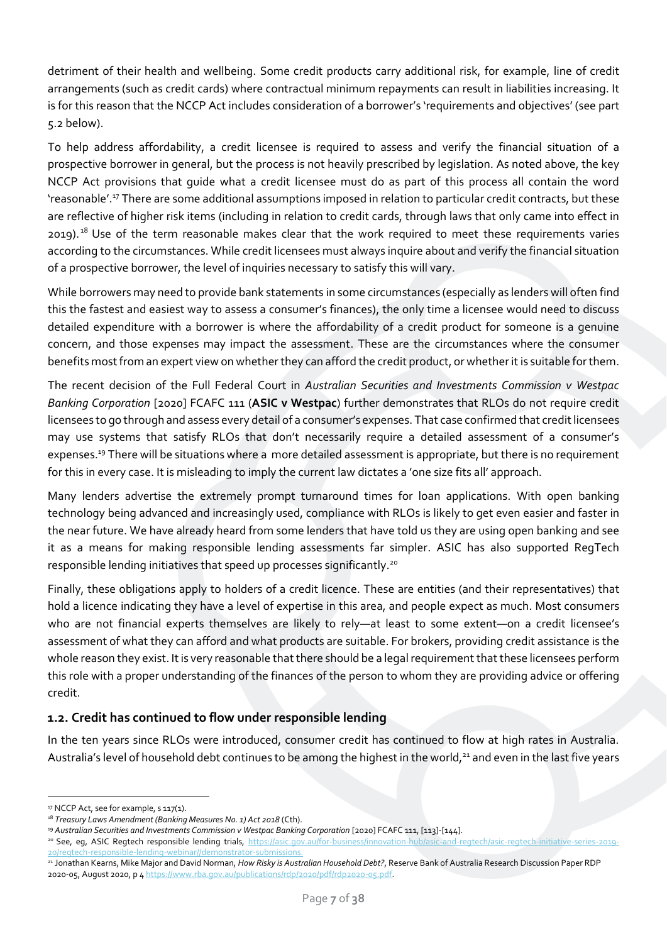detriment of their health and wellbeing. Some credit products carry additional risk, for example, line of credit arrangements (such as credit cards) where contractual minimum repayments can result in liabilities increasing. It is for this reason that the NCCP Act includes consideration of a borrower's 'requirements and objectives' (see part 5.2 below).

To help address affordability, a credit licensee is required to assess and verify the financial situation of a prospective borrower in general, but the process is not heavily prescribed by legislation. As noted above, the key NCCP Act provisions that guide what a credit licensee must do as part of this process all contain the word 'reasonable'.<sup>17</sup> There are some additional assumptions imposed in relation to particular credit contracts, but these are reflective of higher risk items (including in relation to credit cards, through laws that only came into effect in 2019).<sup>18</sup> Use of the term reasonable makes clear that the work required to meet these requirements varies according to the circumstances. While credit licensees must always inquire about and verify the financial situation of a prospective borrower, the level of inquiries necessary to satisfy this will vary.

While borrowers may need to provide bank statements in some circumstances (especially as lenders will often find this the fastest and easiest way to assess a consumer's finances), the only time a licensee would need to discuss detailed expenditure with a borrower is where the affordability of a credit product for someone is a genuine concern, and those expenses may impact the assessment. These are the circumstances where the consumer benefits most from an expert view on whether they can afford the credit product, or whether it is suitable for them.

The recent decision of the Full Federal Court in *Australian Securities and Investments Commission v Westpac Banking Corporation* [2020] FCAFC 111 (**ASIC v Westpac**) further demonstrates that RLOs do not require credit licensees to go through and assess every detail of a consumer's expenses. That case confirmed that credit licensees may use systems that satisfy RLOs that don't necessarily require a detailed assessment of a consumer's expenses. <sup>19</sup> There will be situations where a more detailed assessment is appropriate, but there is no requirement for this in every case. It is misleading to imply the current law dictates a 'one size fits all' approach.

Many lenders advertise the extremely prompt turnaround times for loan applications. With open banking technology being advanced and increasingly used, compliance with RLOs is likely to get even easier and faster in the near future. We have already heard from some lenders that have told us they are using open banking and see it as a means for making responsible lending assessments far simpler. ASIC has also supported RegTech responsible lending initiatives that speed up processes significantly.<sup>20</sup>

Finally, these obligations apply to holders of a credit licence. These are entities (and their representatives) that hold a licence indicating they have a level of expertise in this area, and people expect as much. Most consumers who are not financial experts themselves are likely to rely—at least to some extent—on a credit licensee's assessment of what they can afford and what products are suitable. For brokers, providing credit assistance is the whole reason they exist. It is very reasonable that there should be a legal requirement that these licensees perform this role with a proper understanding of the finances of the person to whom they are providing advice or offering credit.

# <span id="page-6-0"></span>**1.2. Credit has continued to flow under responsible lending**

In the ten years since RLOs were introduced, consumer credit has continued to flow at high rates in Australia. Australia's level of household debt continues to be among the highest in the world,<sup>21</sup> and even in the last five years

<sup>20</sup> See, eq, ASIC Regtech responsible lending trials, [https://asic.gov.au/for-business/innovation-hub/asic-and-regtech/asic-regtech-initiative-series-2019-](https://asic.gov.au/for-business/innovation-hub/asic-and-regtech/asic-regtech-initiative-series-2019-20/regtech-responsible-lending-webinar/demonstrator-submissions) [20/regtech-responsible-lending-webinar//demonstrator-submissions.](https://asic.gov.au/for-business/innovation-hub/asic-and-regtech/asic-regtech-initiative-series-2019-20/regtech-responsible-lending-webinar/demonstrator-submissions)

<sup>&</sup>lt;sup>17</sup> NCCP Act, see for example, s 117(1).

<sup>&</sup>lt;sup>18</sup> Treasury Laws Amendment (Banking Measures No. 1) Act 2018 (Cth).

<sup>&</sup>lt;sup>19</sup> Australian Securities and Investments Commission v Westpac Banking Corporation [2020] FCAFC 111, [113]-[144].

<sup>21</sup> Jonathan Kearns, Mike Major and David Norman, *How Risky is Australian Household Debt?*, Reserve Bank of Australia Research Discussion Paper RDP 2020-05, August 2020, p [4 https://www.rba.gov.au/publications/rdp/2020/pdf/rdp2020-05.pdf.](https://www.rba.gov.au/publications/rdp/2020/pdf/rdp2020-05.pdf)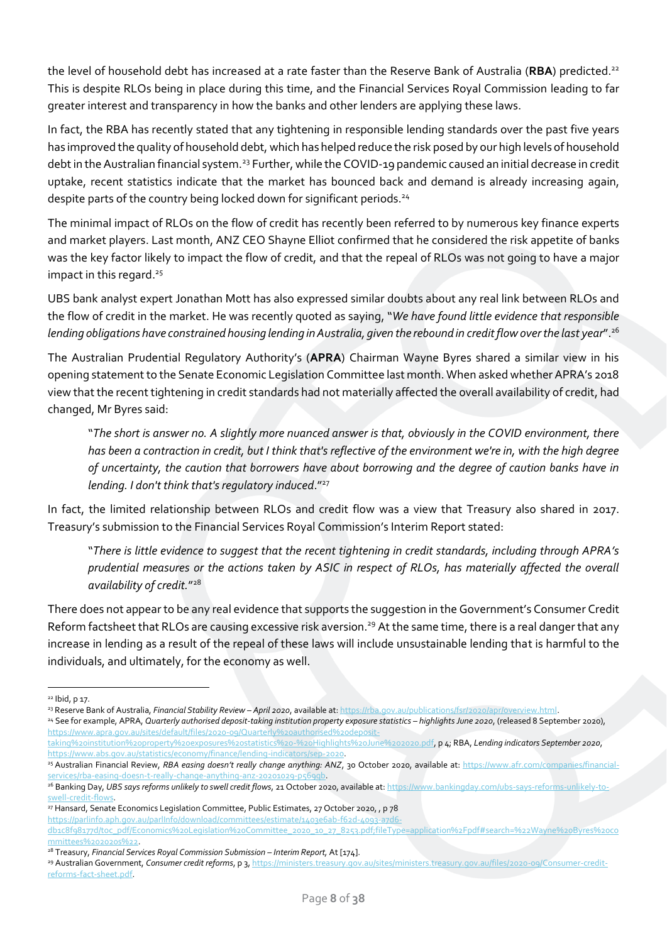the level of household debt has increased at a rate faster than the Reserve Bank of Australia (**RBA**) predicted.<sup>22</sup> This is despite RLOs being in place during this time, and the Financial Services Royal Commission leading to far greater interest and transparency in how the banks and other lenders are applying these laws.

In fact, the RBA has recently stated that any tightening in responsible lending standards over the past five years has improved the quality of household debt, which has helped reduce the risk posed by our high levels of household debt in the Australian financial system.<sup>23</sup> Further, while the COVID-19 pandemic caused an initial decrease in credit uptake, recent statistics indicate that the market has bounced back and demand is already increasing again, despite parts of the country being locked down for significant periods. 24

The minimal impact of RLOs on the flow of credit has recently been referred to by numerous key finance experts and market players. Last month, ANZ CEO Shayne Elliot confirmed that he considered the risk appetite of banks was the key factor likely to impact the flow of credit, and that the repeal of RLOs was not going to have a major impact in this regard. 25

UBS bank analyst expert Jonathan Mott has also expressed similar doubts about any real link between RLOs and the flow of credit in the market. He was recently quoted as saying, "*We have found little evidence that responsible lending obligations have constrained housing lending in Australia, given the rebound in credit flow over the last year*".<sup>26</sup>

The Australian Prudential Regulatory Authority's (**APRA**) Chairman Wayne Byres shared a similar view in his opening statement to the Senate Economic Legislation Committee last month. When asked whether APRA's 2018 view that the recent tightening in credit standards had not materially affected the overall availability of credit, had changed, Mr Byres said:

"*The short is answer no. A slightly more nuanced answer is that, obviously in the COVID environment, there has been a contraction in credit, but I think that's reflective of the environment we're in, with the high degree of uncertainty, the caution that borrowers have about borrowing and the degree of caution banks have in lending. I don't think that's regulatory induced*."<sup>27</sup>

In fact, the limited relationship between RLOs and credit flow was a view that Treasury also shared in 2017. Treasury's submission to the Financial Services Royal Commission's Interim Report stated:

"*There is little evidence to suggest that the recent tightening in credit standards, including through APRA's prudential measures or the actions taken by ASIC in respect of RLOs, has materially affected the overall availability of credit.*" 28

There does not appear to be any real evidence that supports the suggestion in the Government's Consumer Credit Reform factsheet that RLOs are causing excessive risk aversion.<sup>29</sup> At the same time, there is a real danger that any increase in lending as a result of the repeal of these laws will include unsustainable lending that is harmful to the individuals, and ultimately, for the economy as well.

<sup>22</sup> Ibid, p 17.

<sup>23</sup> Reserve Bank of Australia, *Financial Stability Review – April 2020*, available at[: https://rba.gov.au/publications/fsr/2020/apr/overview.html.](https://rba.gov.au/publications/fsr/2020/apr/overview.html) 

<sup>&</sup>lt;sup>24</sup> See for example, APRA, Quarterly authorised deposit-taking institution property exposure statistics - highlights June 2020, (released 8 September 2020), [https://www.apra.gov.au/sites/default/files/2020-09/Quarterly%20authorised%20deposit-](https://www.apra.gov.au/sites/default/files/2020-09/Quarterly%20authorised%20deposit-taking%20institution%20property%20exposures%20statistics%20-%20Highlights%20June%202020.pdf)

[taking%20institution%20property%20exposures%20statistics%20-%20Highlights%20June%202020.pdf,](https://www.apra.gov.au/sites/default/files/2020-09/Quarterly%20authorised%20deposit-taking%20institution%20property%20exposures%20statistics%20-%20Highlights%20June%202020.pdf) p 4; RBA, *Lending indicators September 2020*, [https://www.abs.gov.au/statistics/economy/finance/lending-indicators/sep-2020.](https://www.abs.gov.au/statistics/economy/finance/lending-indicators/sep-2020)

<sup>&</sup>lt;sup>25</sup> Australian Financial Review, *RBA easing doesn't really change anything: ANZ*, 30 October 2020, available at: [https://www.afr.com/companies/financial](https://www.afr.com/companies/financial-services/rba-easing-doesn-t-really-change-anything-anz-20201029-p569qb)services/rba-easing-doesn-t-really-change-anything-anz-20201029-p569q

<sup>26</sup> Banking Day, *UBS says reforms unlikely to swell credit flows*, 21 October 2020, available at[: https://www.bankingday.com/ubs-says-reforms-unlikely-to](https://www.bankingday.com/ubs-says-reforms-unlikely-to-swell-credit-flows)[swell-credit-flows.](https://www.bankingday.com/ubs-says-reforms-unlikely-to-swell-credit-flows)

 $27$  Hansard, Senate Economics Legislation Committee, Public Estimates, 27 October 2020, , p 78

[https://parlinfo.aph.gov.au/parlInfo/download/committees/estimate/1403e6ab-f62d-4093-a7d6](https://parlinfo.aph.gov.au/parlInfo/download/committees/estimate/1403e6ab-f62d-4093-a7d6-db1c8f98177d/toc_pdf/Economics%20Legislation%20Committee_2020_10_27_8253.pdf;fileType=application%2Fpdf#search=%22Wayne%20Byres%20committees%202020s%22) db1c8fq8177d/toc\_pdf/Economics%20Legislation%20Committee\_2020\_10\_27\_8253.pdf;fileType=application%2Fpdf#search=%22Wayne%20Byres%20co [mmittees%202020s%22.](https://parlinfo.aph.gov.au/parlInfo/download/committees/estimate/1403e6ab-f62d-4093-a7d6-db1c8f98177d/toc_pdf/Economics%20Legislation%20Committee_2020_10_27_8253.pdf;fileType=application%2Fpdf#search=%22Wayne%20Byres%20committees%202020s%22) 

<sup>&</sup>lt;sup>28</sup> Treasury, *Financial Services Royal Commission Submission – Interim Report, At* [174].

<sup>29</sup> Australian Government, *Consumer credit reforms*, p 3[, https://ministers.treasury.gov.au/sites/ministers.treasury.gov.au/files/2020-09/Consumer-credit](https://ministers.treasury.gov.au/sites/ministers.treasury.gov.au/files/2020-09/Consumer-credit-reforms-fact-sheet.pdf)[reforms-fact-sheet.pdf.](https://ministers.treasury.gov.au/sites/ministers.treasury.gov.au/files/2020-09/Consumer-credit-reforms-fact-sheet.pdf)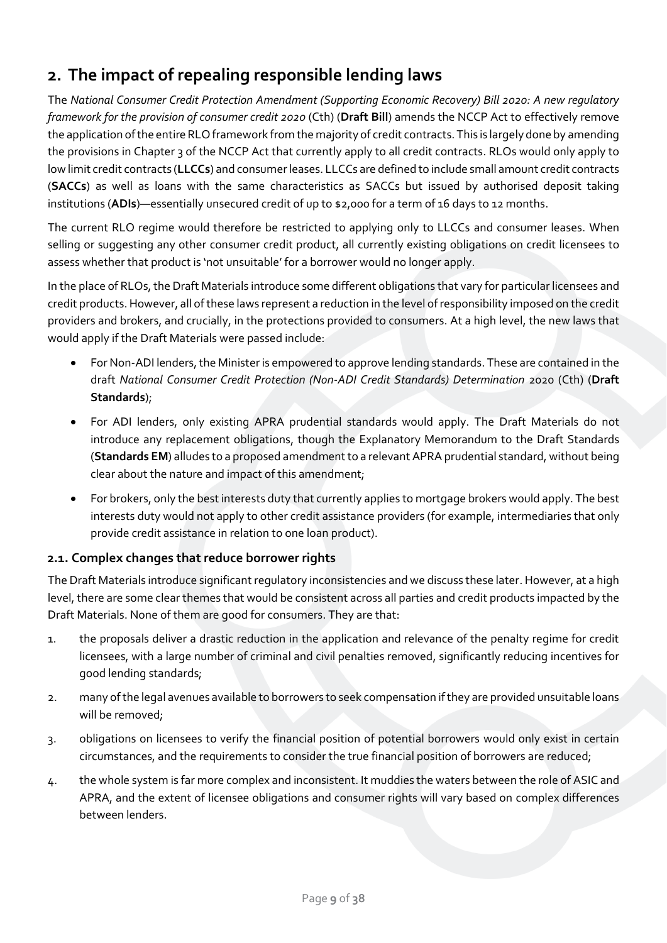# <span id="page-8-0"></span>**2. The impact of repealing responsible lending laws**

The *National Consumer Credit Protection Amendment (Supporting Economic Recovery) Bill 2020: A new regulatory framework for the provision of consumer credit 2020* (Cth) (**Draft Bill**) amends the NCCP Act to effectively remove the application of the entire RLO framework from the majority of credit contracts.This is largely done by amending the provisions in Chapter 3 of the NCCP Act that currently apply to all credit contracts. RLOs would only apply to low limit credit contracts (**LLCCs**) and consumer leases. LLCCs are defined to include small amount credit contracts (**SACCs**) as well as loans with the same characteristics as SACCs but issued by authorised deposit taking institutions (**ADIs**)—essentially unsecured credit of up to \$2,000 for a term of 16 days to 12 months.

The current RLO regime would therefore be restricted to applying only to LLCCs and consumer leases. When selling or suggesting any other consumer credit product, all currently existing obligations on credit licensees to assess whether that product is 'not unsuitable' for a borrower would no longer apply.

In the place of RLOs, the Draft Materials introduce some different obligations that vary for particular licensees and credit products.However, all of these laws represent a reduction in the level of responsibility imposed on the credit providers and brokers, and crucially, in the protections provided to consumers. At a high level, the new laws that would apply if the Draft Materials were passed include:

- For Non-ADI lenders, the Minister is empowered to approve lending standards. These are contained in the draft *National Consumer Credit Protection (Non-ADI Credit Standards) Determination* 2020 (Cth) (**Draft Standards**);
- For ADI lenders, only existing APRA prudential standards would apply. The Draft Materials do not introduce any replacement obligations, though the Explanatory Memorandum to the Draft Standards (**Standards EM**) alludes to a proposed amendment to a relevant APRA prudential standard, without being clear about the nature and impact of this amendment;
- For brokers, only the best interests duty that currently applies to mortgage brokers would apply. The best interests duty would not apply to other credit assistance providers (for example, intermediaries that only provide credit assistance in relation to one loan product).

# <span id="page-8-1"></span>**2.1. Complex changes that reduce borrower rights**

The Draft Materials introduce significant regulatory inconsistencies and we discuss these later. However, at a high level, there are some clear themes that would be consistent across all parties and credit products impacted by the Draft Materials. None of them are good for consumers. They are that:

- 1. the proposals deliver a drastic reduction in the application and relevance of the penalty regime for credit licensees, with a large number of criminal and civil penalties removed, significantly reducing incentives for good lending standards;
- 2. many of the legal avenues available to borrowers to seek compensation if they are provided unsuitable loans will be removed;
- 3. obligations on licensees to verify the financial position of potential borrowers would only exist in certain circumstances, and the requirements to consider the true financial position of borrowers are reduced;
- 4. the whole system is far more complex and inconsistent. It muddies the waters between the role of ASIC and APRA, and the extent of licensee obligations and consumer rights will vary based on complex differences between lenders.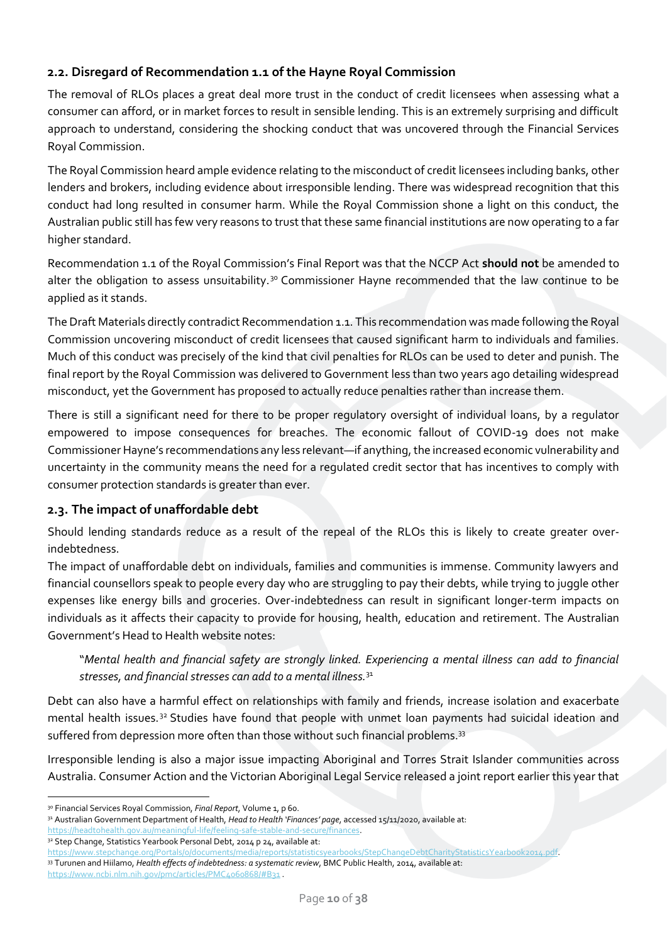# <span id="page-9-0"></span>**2.2. Disregard of Recommendation 1.1 of the Hayne Royal Commission**

The removal of RLOs places a great deal more trust in the conduct of credit licensees when assessing what a consumer can afford, or in market forces to result in sensible lending. This is an extremely surprising and difficult approach to understand, considering the shocking conduct that was uncovered through the Financial Services Royal Commission.

The Royal Commission heard ample evidence relating to the misconduct of credit licensees including banks, other lenders and brokers, including evidence about irresponsible lending. There was widespread recognition that this conduct had long resulted in consumer harm. While the Royal Commission shone a light on this conduct, the Australian public still has few very reasons to trust that these same financial institutions are now operating to a far higher standard.

Recommendation 1.1 of the Royal Commission's Final Report was that the NCCP Act **should not** be amended to alter the obligation to assess unsuitability.<sup>30</sup> Commissioner Hayne recommended that the law continue to be applied as it stands.

The Draft Materials directly contradict Recommendation 1.1. This recommendation was made following the Royal Commission uncovering misconduct of credit licensees that caused significant harm to individuals and families. Much of this conduct was precisely of the kind that civil penalties for RLOs can be used to deter and punish. The final report by the Royal Commission was delivered to Government less than two years ago detailing widespread misconduct, yet the Government has proposed to actually reduce penalties rather than increase them.

There is still a significant need for there to be proper regulatory oversight of individual loans, by a regulator empowered to impose consequences for breaches. The economic fallout of COVID-19 does not make Commissioner Hayne's recommendations any less relevant—if anything, the increased economic vulnerability and uncertainty in the community means the need for a regulated credit sector that has incentives to comply with consumer protection standards is greater than ever.

# <span id="page-9-1"></span>**2.3. The impact of unaffordable debt**

Should lending standards reduce as a result of the repeal of the RLOs this is likely to create greater overindebtedness.

The impact of unaffordable debt on individuals, families and communities is immense. Community lawyers and financial counsellors speak to people every day who are struggling to pay their debts, while trying to juggle other expenses like energy bills and groceries. Over-indebtedness can result in significant longer-term impacts on individuals as it affects their capacity to provide for housing, health, education and retirement. The Australian Government's Head to Health website notes:

"*Mental health and financial safety are strongly linked. Experiencing a mental illness can add to financial stresses, and financial stresses can add to a mental illness.*<sup>31</sup>

Debt can also have a harmful effect on relationships with family and friends, increase isolation and exacerbate mental health issues.<sup>32</sup> Studies have found that people with unmet loan payments had suicidal ideation and suffered from depression more often than those without such financial problems.<sup>33</sup>

Irresponsible lending is also a major issue impacting Aboriginal and Torres Strait Islander communities across Australia. Consumer Action and the Victorian Aboriginal Legal Service released a joint report earlier this year that

<sup>32</sup> Step Change, Statistics Yearbook Personal Debt, 2014 p 24, available at:

<sup>30</sup> Financial Services Royal Commission, *Final Report*, Volume 1, p 60.

<sup>31</sup> Australian Government Department of Health, *Head to Health 'Finances' page*, accessed 15/11/2020, available at:

https://headtohealth.gov.au/meaningful-life/feeling-safe-stable-and-secure

[https://www.stepchange.org/Portals/0/documents/media/reports/statisticsyearbooks/StepChangeDebtCharityStatisticsYearbook2014.pdf.](https://www.stepchange.org/Portals/0/documents/media/reports/statisticsyearbooks/StepChangeDebtCharityStatisticsYearbook2014.pdf) <sup>33</sup> Turunen and Hiilamo, *Health effects of indebtedness: a systematic review*, BMC Public Health, 2014, available at: <https://www.ncbi.nlm.nih.gov/pmc/articles/PMC4060868/#B31> .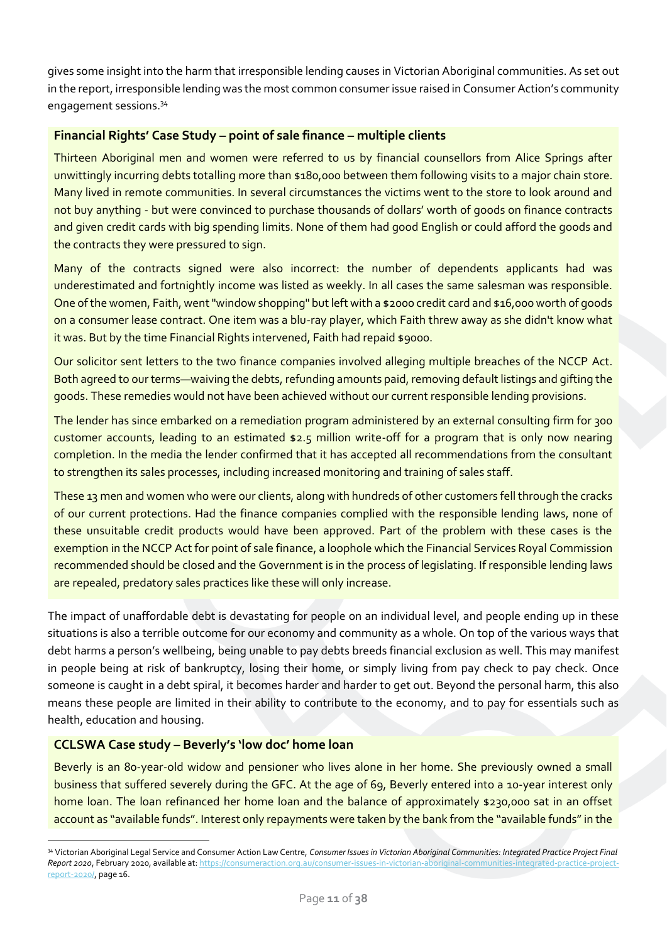gives some insight into the harm that irresponsible lending causes in Victorian Aboriginal communities. As set out in the report, irresponsible lending was the most common consumer issue raised in Consumer Action's community engagement sessions.<sup>34</sup>

### **Financial Rights' Case Study – point of sale finance – multiple clients**

Thirteen Aboriginal men and women were referred to us by financial counsellors from Alice Springs after unwittingly incurring debts totalling more than \$180,000 between them following visits to a major chain store. Many lived in remote communities. In several circumstances the victims went to the store to look around and not buy anything - but were convinced to purchase thousands of dollars' worth of goods on finance contracts and given credit cards with big spending limits. None of them had good English or could afford the goods and the contracts they were pressured to sign.

Many of the contracts signed were also incorrect: the number of dependents applicants had was underestimated and fortnightly income was listed as weekly. In all cases the same salesman was responsible. One of the women, Faith, went "window shopping" but left with a \$2000 credit card and \$16,000 worth of goods on a consumer lease contract. One item was a blu-ray player, which Faith threw away as she didn't know what it was. But by the time Financial Rights intervened, Faith had repaid \$9000.

Our solicitor sent letters to the two finance companies involved alleging multiple breaches of the NCCP Act. Both agreed to our terms—waiving the debts, refunding amounts paid, removing default listings and gifting the goods. These remedies would not have been achieved without our current responsible lending provisions.

The lender has since embarked on a remediation program administered by an external consulting firm for 300 customer accounts, leading to an estimated \$2.5 million write-off for a program that is only now nearing completion. In the media the lender confirmed that it has accepted all recommendations from the consultant to strengthen its sales processes, including increased monitoring and training of sales staff.

These 13 men and women who were our clients, along with hundreds of other customers fell through the cracks of our current protections. Had the finance companies complied with the responsible lending laws, none of these unsuitable credit products would have been approved. Part of the problem with these cases is the exemption in the NCCP Act for point of sale finance, a loophole which the Financial Services Royal Commission recommended should be closed and the Government is in the process of legislating. If responsible lending laws are repealed, predatory sales practices like these will only increase.

The impact of unaffordable debt is devastating for people on an individual level, and people ending up in these situations is also a terrible outcome for our economy and community as a whole. On top of the various ways that debt harms a person's wellbeing, being unable to pay debts breeds financial exclusion as well. This may manifest in people being at risk of bankruptcy, losing their home, or simply living from pay check to pay check. Once someone is caught in a debt spiral, it becomes harder and harder to get out. Beyond the personal harm, this also means these people are limited in their ability to contribute to the economy, and to pay for essentials such as health, education and housing.

### **CCLSWA Case study – Beverly's 'low doc' home loan**

Beverly is an 80-year-old widow and pensioner who lives alone in her home. She previously owned a small business that suffered severely during the GFC. At the age of 69, Beverly entered into a 10-year interest only home loan. The loan refinanced her home loan and the balance of approximately \$230,000 sat in an offset account as "available funds". Interest only repayments were taken by the bank from the "available funds" in the

<sup>34</sup> Victorian Aboriginal Legal Service and Consumer Action Law Centre, *Consumer Issues in Victorian Aboriginal Communities: Integrated Practice Project Final Report 2020*, February 2020, available at[: https://consumeraction.org.au/consumer-issues-in-victorian-aboriginal-communities-integrated-practice-project](https://consumeraction.org.au/consumer-issues-in-victorian-aboriginal-communities-integrated-practice-project-report-2020/)[report-2020/,](https://consumeraction.org.au/consumer-issues-in-victorian-aboriginal-communities-integrated-practice-project-report-2020/) page 16.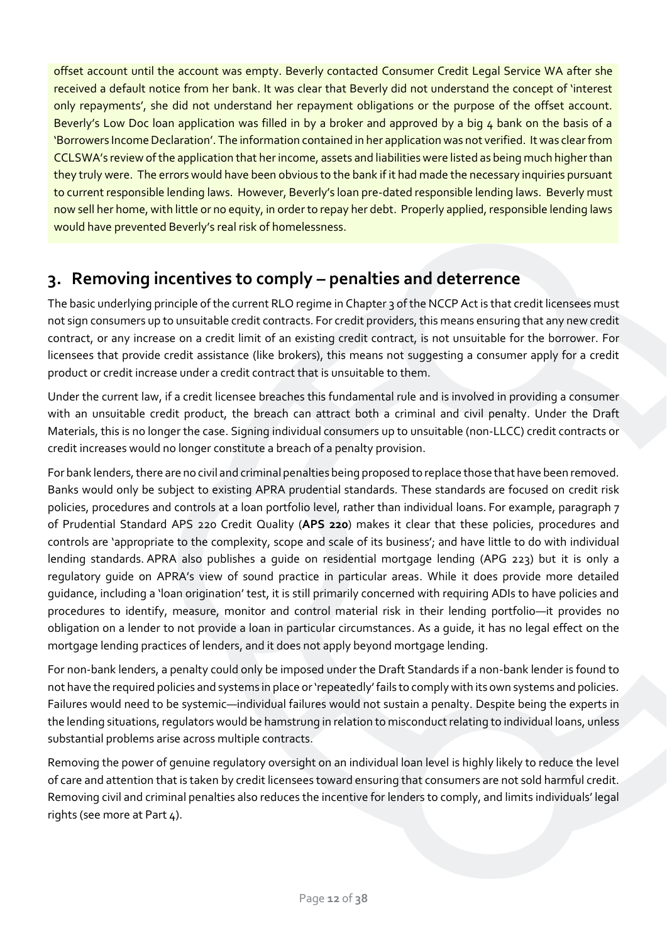offset account until the account was empty. Beverly contacted Consumer Credit Legal Service WA after she received a default notice from her bank. It was clear that Beverly did not understand the concept of 'interest only repayments', she did not understand her repayment obligations or the purpose of the offset account. Beverly's Low Doc loan application was filled in by a broker and approved by a big 4 bank on the basis of a 'Borrowers Income Declaration'. The information contained in her application was not verified. It was clear from CCLSWA's review of the application that her income, assets and liabilities were listed as being much higher than they truly were. The errors would have been obvious to the bank if it had made the necessary inquiries pursuant to current responsible lending laws. However, Beverly's loan pre-dated responsible lending laws. Beverly must now sell her home, with little or no equity, in order to repay her debt. Properly applied, responsible lending laws would have prevented Beverly's real risk of homelessness.

# <span id="page-11-0"></span>**3. Removing incentives to comply – penalties and deterrence**

The basic underlying principle of the current RLO regime in Chapter 3 of the NCCP Act is that credit licensees must not sign consumers up to unsuitable credit contracts. For credit providers, this means ensuring that any new credit contract, or any increase on a credit limit of an existing credit contract, is not unsuitable for the borrower. For licensees that provide credit assistance (like brokers), this means not suggesting a consumer apply for a credit product or credit increase under a credit contract that is unsuitable to them.

Under the current law, if a credit licensee breaches this fundamental rule and is involved in providing a consumer with an unsuitable credit product, the breach can attract both a criminal and civil penalty. Under the Draft Materials, this is no longer the case. Signing individual consumers up to unsuitable (non-LLCC) credit contracts or credit increases would no longer constitute a breach of a penalty provision.

For bank lenders, there are no civil and criminal penalties being proposed to replace those that have been removed. Banks would only be subject to existing APRA prudential standards. These standards are focused on credit risk policies, procedures and controls at a loan portfolio level, rather than individual loans. For example, paragraph 7 of Prudential Standard APS 220 Credit Quality (**APS 220**) makes it clear that these policies, procedures and controls are 'appropriate to the complexity, scope and scale of its business'; and have little to do with individual lending standards. APRA also publishes a guide on residential mortgage lending (APG 223) but it is only a regulatory guide on APRA's view of sound practice in particular areas. While it does provide more detailed guidance, including a 'loan origination' test, it is still primarily concerned with requiring ADIs to have policies and procedures to identify, measure, monitor and control material risk in their lending portfolio—it provides no obligation on a lender to not provide a loan in particular circumstances. As a guide, it has no legal effect on the mortgage lending practices of lenders, and it does not apply beyond mortgage lending.

For non-bank lenders, a penalty could only be imposed under the Draft Standards if a non-bank lender is found to not have the required policies and systems in place or 'repeatedly' fails to comply with its own systems and policies. Failures would need to be systemic—individual failures would not sustain a penalty. Despite being the experts in the lending situations, regulators would be hamstrung in relation to misconduct relating to individual loans, unless substantial problems arise across multiple contracts.

Removing the power of genuine regulatory oversight on an individual loan level is highly likely to reduce the level of care and attention that is taken by credit licensees toward ensuring that consumers are not sold harmful credit. Removing civil and criminal penalties also reduces the incentive for lenders to comply, and limits individuals' legal rights (see more at Part 4).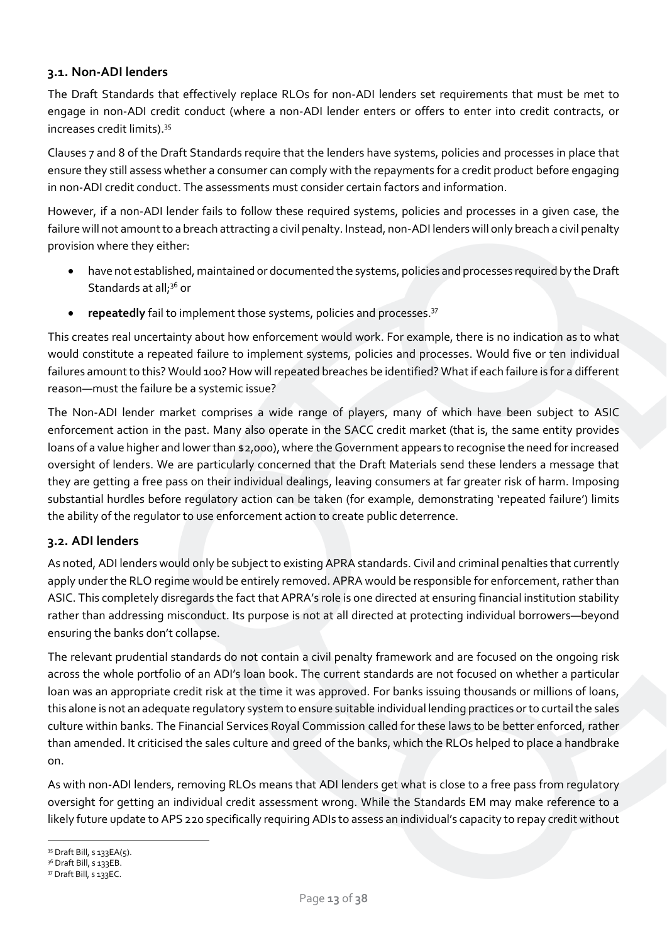### <span id="page-12-0"></span>**3.1. Non-ADI lenders**

The Draft Standards that effectively replace RLOs for non-ADI lenders set requirements that must be met to engage in non-ADI credit conduct (where a non-ADI lender enters or offers to enter into credit contracts, or increases credit limits). 35

Clauses 7 and 8 of the Draft Standards require that the lenders have systems, policies and processes in place that ensure they still assess whether a consumer can comply with the repayments for a credit product before engaging in non-ADI credit conduct. The assessments must consider certain factors and information.

However, if a non-ADI lender fails to follow these required systems, policies and processes in a given case, the failure will not amount to a breach attracting a civil penalty. Instead, non-ADI lenders will only breach a civil penalty provision where they either:

- have not established, maintained or documented the systems, policies and processes required by the Draft Standards at all;<sup>36</sup> or
- repeatedly fail to implement those systems, policies and processes.<sup>37</sup>

This creates real uncertainty about how enforcement would work. For example, there is no indication as to what would constitute a repeated failure to implement systems, policies and processes. Would five or ten individual failures amount to this? Would 100? How will repeated breaches be identified? What if each failure is for a different reason—must the failure be a systemic issue?

The Non-ADI lender market comprises a wide range of players, many of which have been subject to ASIC enforcement action in the past. Many also operate in the SACC credit market (that is, the same entity provides loans of a value higher and lower than \$2,000), where the Government appears to recognise the need for increased oversight of lenders. We are particularly concerned that the Draft Materials send these lenders a message that they are getting a free pass on their individual dealings, leaving consumers at far greater risk of harm. Imposing substantial hurdles before regulatory action can be taken (for example, demonstrating 'repeated failure') limits the ability of the regulator to use enforcement action to create public deterrence.

# <span id="page-12-1"></span>**3.2. ADI lenders**

As noted, ADI lenders would only be subject to existing APRA standards. Civil and criminal penalties that currently apply under the RLO regime would be entirely removed. APRA would be responsible for enforcement, rather than ASIC. This completely disregards the fact that APRA's role is one directed at ensuring financial institution stability rather than addressing misconduct. Its purpose is not at all directed at protecting individual borrowers—beyond ensuring the banks don't collapse.

The relevant prudential standards do not contain a civil penalty framework and are focused on the ongoing risk across the whole portfolio of an ADI's loan book. The current standards are not focused on whether a particular loan was an appropriate credit risk at the time it was approved. For banks issuing thousands or millions of loans, this alone is not an adequate regulatory system to ensure suitable individual lending practices or to curtail the sales culture within banks. The Financial Services Royal Commission called for these laws to be better enforced, rather than amended. It criticised the sales culture and greed of the banks, which the RLOs helped to place a handbrake on.

As with non-ADI lenders, removing RLOs means that ADI lenders get what is close to a free pass from regulatory oversight for getting an individual credit assessment wrong. While the Standards EM may make reference to a likely future update to APS 220 specifically requiring ADIs to assess an individual's capacity to repay credit without

<sup>35</sup> Draft Bill, s 133EA(5).

<sup>&</sup>lt;sup>36</sup> Draft Bill, s 133EB.

<sup>&</sup>lt;sup>37</sup> Draft Bill, s 133EC.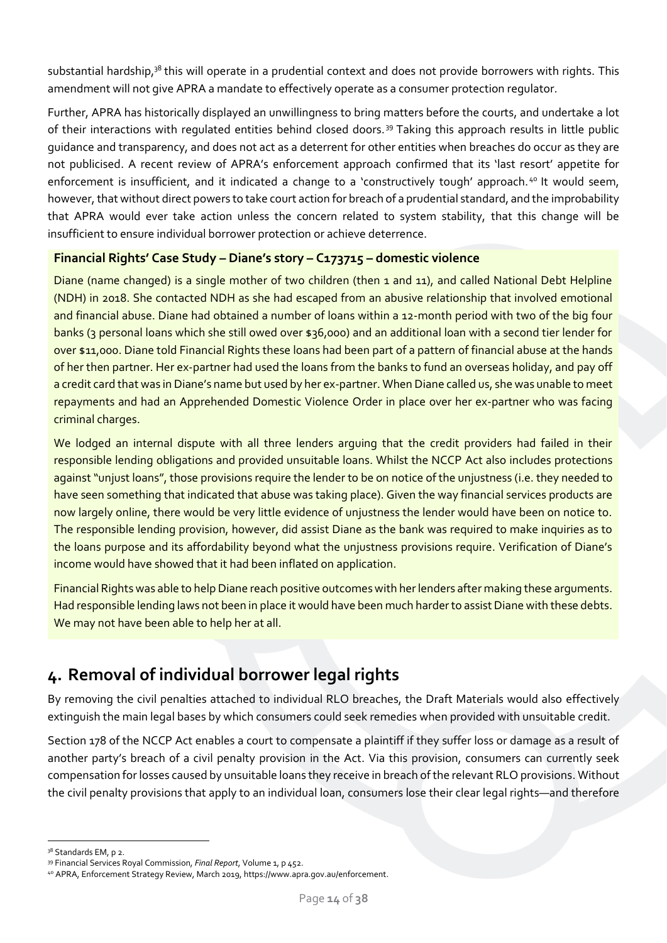substantial hardship,<sup>38</sup> this will operate in a prudential context and does not provide borrowers with rights. This amendment will not give APRA a mandate to effectively operate as a consumer protection regulator.

Further, APRA has historically displayed an unwillingness to bring matters before the courts, and undertake a lot of their interactions with regulated entities behind closed doors. <sup>39</sup> Taking this approach results in little public guidance and transparency, and does not act as a deterrent for other entities when breaches do occur as they are not publicised. A recent review of APRA's enforcement approach confirmed that its 'last resort' appetite for enforcement is insufficient, and it indicated a change to a 'constructively tough' approach.<sup>40</sup> It would seem, however, that without direct powers to take court action for breach of a prudential standard, and the improbability that APRA would ever take action unless the concern related to system stability, that this change will be insufficient to ensure individual borrower protection or achieve deterrence.

# **Financial Rights' Case Study – Diane's story – C173715 – domestic violence**

Diane (name changed) is a single mother of two children (then 1 and 11), and called National Debt Helpline (NDH) in 2018. She contacted NDH as she had escaped from an abusive relationship that involved emotional and financial abuse. Diane had obtained a number of loans within a 12-month period with two of the big four banks (3 personal loans which she still owed over \$36,000) and an additional loan with a second tier lender for over \$11,000. Diane told Financial Rights these loans had been part of a pattern of financial abuse at the hands of her then partner. Her ex-partner had used the loans from the banks to fund an overseas holiday, and pay off a credit card that was in Diane's name but used by her ex-partner. When Diane called us, she was unable to meet repayments and had an Apprehended Domestic Violence Order in place over her ex-partner who was facing criminal charges.

We lodged an internal dispute with all three lenders arguing that the credit providers had failed in their responsible lending obligations and provided unsuitable loans. Whilst the NCCP Act also includes protections against "unjust loans", those provisions require the lender to be on notice of the unjustness (i.e. they needed to have seen something that indicated that abuse was taking place). Given the way financial services products are now largely online, there would be very little evidence of unjustness the lender would have been on notice to. The responsible lending provision, however, did assist Diane as the bank was required to make inquiries as to the loans purpose and its affordability beyond what the unjustness provisions require. Verification of Diane's income would have showed that it had been inflated on application.

Financial Rights was able to help Diane reach positive outcomes with her lenders after making these arguments. Had responsible lending laws not been in place it would have been much harder to assist Diane with these debts. We may not have been able to help her at all.

# <span id="page-13-0"></span>**4. Removal of individual borrower legal rights**

By removing the civil penalties attached to individual RLO breaches, the Draft Materials would also effectively extinguish the main legal bases by which consumers could seek remedies when provided with unsuitable credit.

Section 178 of the NCCP Act enables a court to compensate a plaintiff if they suffer loss or damage as a result of another party's breach of a civil penalty provision in the Act. Via this provision, consumers can currently seek compensation for losses caused by unsuitable loans they receive in breach of the relevant RLO provisions. Without the civil penalty provisions that apply to an individual loan, consumers lose their clear legal rights—and therefore

<sup>38</sup> Standards EM, p 2.

<sup>39</sup> Financial Services Royal Commission, *Final Report*, Volume 1, p 452.

<sup>40</sup> APRA, Enforcement Strategy Review, March 2019, https://www.apra.gov.au/enforcement.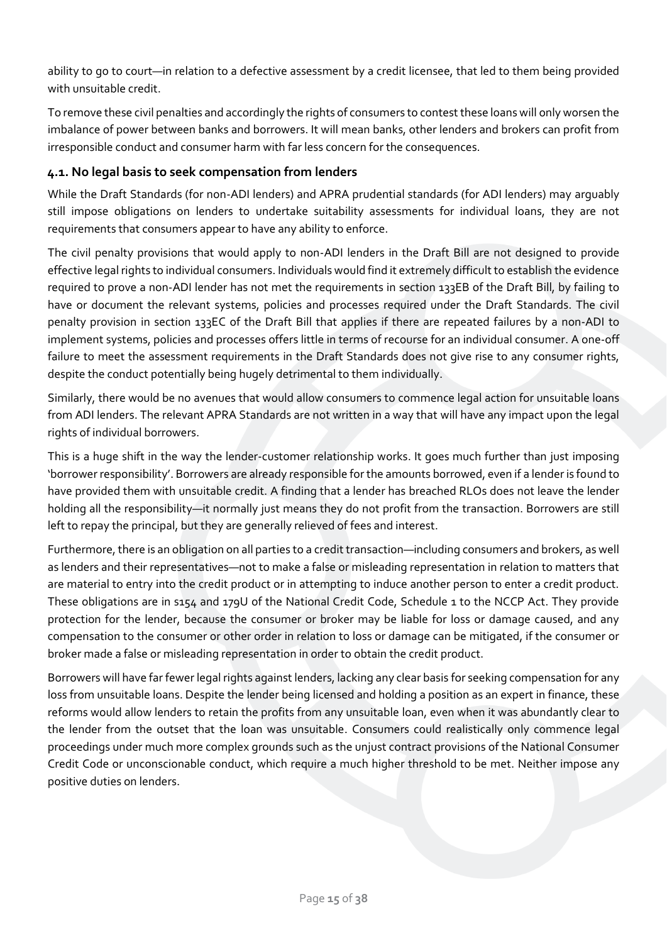ability to go to court—in relation to a defective assessment by a credit licensee, that led to them being provided with unsuitable credit.

To remove these civil penalties and accordingly the rights of consumers to contest these loans will only worsen the imbalance of power between banks and borrowers. It will mean banks, other lenders and brokers can profit from irresponsible conduct and consumer harm with far less concern for the consequences.

### <span id="page-14-0"></span>**4.1. No legal basis to seek compensation from lenders**

While the Draft Standards (for non-ADI lenders) and APRA prudential standards (for ADI lenders) may arguably still impose obligations on lenders to undertake suitability assessments for individual loans, they are not requirements that consumers appear to have any ability to enforce.

The civil penalty provisions that would apply to non-ADI lenders in the Draft Bill are not designed to provide effective legal rights to individual consumers. Individuals would find it extremely difficult to establish the evidence required to prove a non-ADI lender has not met the requirements in section 133EB of the Draft Bill, by failing to have or document the relevant systems, policies and processes required under the Draft Standards. The civil penalty provision in section 133EC of the Draft Bill that applies if there are repeated failures by a non-ADI to implement systems, policies and processes offers little in terms of recourse for an individual consumer. A one-off failure to meet the assessment requirements in the Draft Standards does not give rise to any consumer rights, despite the conduct potentially being hugely detrimental to them individually.

Similarly, there would be no avenues that would allow consumers to commence legal action for unsuitable loans from ADI lenders. The relevant APRA Standards are not written in a way that will have any impact upon the legal rights of individual borrowers.

This is a huge shift in the way the lender-customer relationship works. It goes much further than just imposing 'borrower responsibility'. Borrowers are already responsible for the amounts borrowed, even if a lender is found to have provided them with unsuitable credit. A finding that a lender has breached RLOs does not leave the lender holding all the responsibility—it normally just means they do not profit from the transaction. Borrowers are still left to repay the principal, but they are generally relieved of fees and interest.

Furthermore, there is an obligation on all parties to a credit transaction—including consumers and brokers, as well as lenders and their representatives—not to make a false or misleading representation in relation to matters that are material to entry into the credit product or in attempting to induce another person to enter a credit product. These obligations are in s154 and 179U of the National Credit Code, Schedule 1 to the NCCP Act. They provide protection for the lender, because the consumer or broker may be liable for loss or damage caused, and any compensation to the consumer or other order in relation to loss or damage can be mitigated, if the consumer or broker made a false or misleading representation in order to obtain the credit product.

Borrowers will have far fewer legal rights against lenders, lacking any clear basis for seeking compensation for any loss from unsuitable loans. Despite the lender being licensed and holding a position as an expert in finance, these reforms would allow lenders to retain the profits from any unsuitable loan, even when it was abundantly clear to the lender from the outset that the loan was unsuitable. Consumers could realistically only commence legal proceedings under much more complex grounds such as the unjust contract provisions of the National Consumer Credit Code or unconscionable conduct, which require a much higher threshold to be met. Neither impose any positive duties on lenders.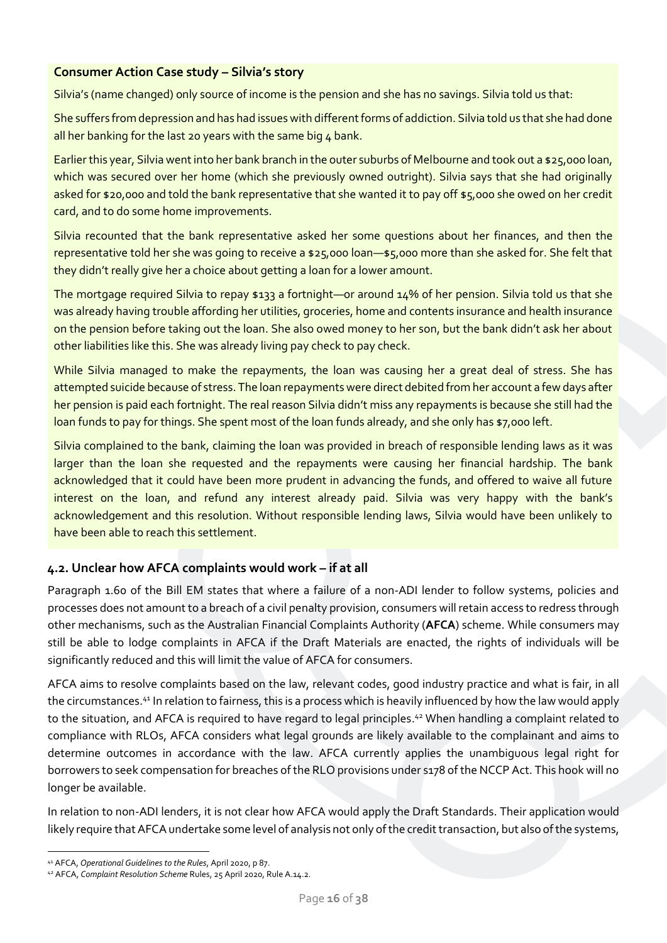### **Consumer Action Case study – Silvia's story**

Silvia's (name changed) only source of income is the pension and she has no savings. Silvia told us that:

She suffers from depression and has had issues with different forms of addiction. Silvia told us that she had done all her banking for the last 20 years with the same big  $4$  bank.

Earlier this year, Silvia went into her bank branch in the outer suburbs of Melbourne and took out a \$25,000 loan, which was secured over her home (which she previously owned outright). Silvia says that she had originally asked for \$20,000 and told the bank representative that she wanted it to pay off \$5,000 she owed on her credit card, and to do some home improvements.

Silvia recounted that the bank representative asked her some questions about her finances, and then the representative told her she was going to receive a \$25,000 loan—\$5,000 more than she asked for. She felt that they didn't really give her a choice about getting a loan for a lower amount.

The mortgage required Silvia to repay \$133 a fortnight—or around 14% of her pension. Silvia told us that she was already having trouble affording her utilities, groceries, home and contents insurance and health insurance on the pension before taking out the loan. She also owed money to her son, but the bank didn't ask her about other liabilities like this. She was already living pay check to pay check.

While Silvia managed to make the repayments, the loan was causing her a great deal of stress. She has attempted suicide because of stress. The loan repayments were direct debited from her account a few days after her pension is paid each fortnight. The real reason Silvia didn't miss any repayments is because she still had the loan funds to pay for things. She spent most of the loan funds already, and she only has \$7,000 left.

Silvia complained to the bank, claiming the loan was provided in breach of responsible lending laws as it was larger than the loan she requested and the repayments were causing her financial hardship. The bank acknowledged that it could have been more prudent in advancing the funds, and offered to waive all future interest on the loan, and refund any interest already paid. Silvia was very happy with the bank's acknowledgement and this resolution. Without responsible lending laws, Silvia would have been unlikely to have been able to reach this settlement.

# <span id="page-15-0"></span>**4.2. Unclear how AFCA complaints would work – if at all**

Paragraph 1.60 of the Bill EM states that where a failure of a non-ADI lender to follow systems, policies and processes does not amount to a breach of a civil penalty provision, consumers will retain access to redress through other mechanisms, such as the Australian Financial Complaints Authority (**AFCA**) scheme. While consumers may still be able to lodge complaints in AFCA if the Draft Materials are enacted, the rights of individuals will be significantly reduced and this will limit the value of AFCA for consumers.

AFCA aims to resolve complaints based on the law, relevant codes, good industry practice and what is fair, in all the circumstances.<sup>41</sup> In relation to fairness, this is a process which is heavily influenced by how the law would apply to the situation, and AFCA is required to have regard to legal principles. <sup>42</sup> When handling a complaint related to compliance with RLOs, AFCA considers what legal grounds are likely available to the complainant and aims to determine outcomes in accordance with the law. AFCA currently applies the unambiguous legal right for borrowers to seek compensation for breaches of the RLO provisions under s178 of the NCCP Act. This hook will no longer be available.

In relation to non-ADI lenders, it is not clear how AFCA would apply the Draft Standards. Their application would likely require that AFCA undertake some level of analysis not only of the credit transaction, but also of the systems,

<sup>41</sup> AFCA, *Operational Guidelines to the Rules*, April 2020, p 87.

<sup>42</sup> AFCA, *Complaint Resolution Scheme* Rules, 25 April 2020, Rule A.14.2.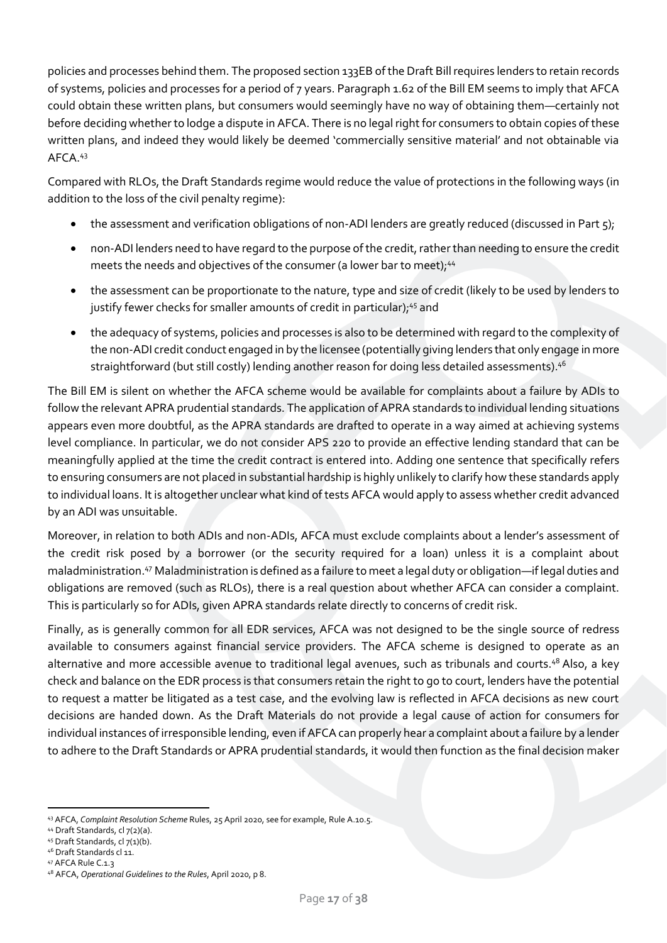policies and processes behind them. The proposed section 133EB of the Draft Billrequires lenders to retain records of systems, policies and processes for a period of 7 years. Paragraph 1.62 of the Bill EM seems to imply that AFCA could obtain these written plans, but consumers would seemingly have no way of obtaining them—certainly not before deciding whether to lodge a dispute in AFCA. There is no legal right for consumers to obtain copies of these written plans, and indeed they would likely be deemed 'commercially sensitive material' and not obtainable via AFCA.<sup>43</sup>

Compared with RLOs, the Draft Standards regime would reduce the value of protections in the following ways (in addition to the loss of the civil penalty regime):

- the assessment and verification obligations of non-ADI lenders are greatly reduced (discussed in Part 5);
- non-ADI lenders need to have regard to the purpose of the credit,rather than needing to ensure the credit meets the needs and objectives of the consumer (a lower bar to meet);<sup>44</sup>
- the assessment can be proportionate to the nature, type and size of credit (likely to be used by lenders to justify fewer checks for smaller amounts of credit in particular);<sup>45</sup> and
- the adequacy of systems, policies and processes is also to be determined with regard to the complexity of the non-ADI credit conduct engaged in by the licensee (potentially giving lenders that only engage in more straightforward (but still costly) lending another reason for doing less detailed assessments). 46

The Bill EM is silent on whether the AFCA scheme would be available for complaints about a failure by ADIs to follow the relevant APRA prudential standards. The application of APRA standards to individual lending situations appears even more doubtful, as the APRA standards are drafted to operate in a way aimed at achieving systems level compliance. In particular, we do not consider APS 220 to provide an effective lending standard that can be meaningfully applied at the time the credit contract is entered into. Adding one sentence that specifically refers to ensuring consumers are not placed in substantial hardship is highly unlikely to clarify how these standards apply to individual loans. It is altogether unclear what kind of tests AFCA would apply to assess whether credit advanced by an ADI was unsuitable.

Moreover, in relation to both ADIs and non-ADIs, AFCA must exclude complaints about a lender's assessment of the credit risk posed by a borrower (or the security required for a loan) unless it is a complaint about maladministration.<sup>47</sup> Maladministration is defined as a failure to meet a legal duty or obligation—if legal duties and obligations are removed (such as RLOs), there is a real question about whether AFCA can consider a complaint. This is particularly so for ADIs, given APRA standards relate directly to concerns of credit risk.

Finally, as is generally common for all EDR services, AFCA was not designed to be the single source of redress available to consumers against financial service providers. The AFCA scheme is designed to operate as an alternative and more accessible avenue to traditional legal avenues, such as tribunals and courts.<sup>48</sup> Also, a key check and balance on the EDR process is that consumers retain the right to go to court, lenders have the potential to request a matter be litigated as a test case, and the evolving law is reflected in AFCA decisions as new court decisions are handed down. As the Draft Materials do not provide a legal cause of action for consumers for individual instances of irresponsible lending, even if AFCA can properly hear a complaint about a failure by a lender to adhere to the Draft Standards or APRA prudential standards, it would then function as the final decision maker

<sup>47</sup> AFCA Rule C.1.3

<sup>43</sup> AFCA, *Complaint Resolution Scheme* Rules, 25 April 2020, see for example, Rule A.10.5.

<sup>44</sup> Draft Standards, cl 7(2)(a).

<sup>45</sup> Draft Standards, cl 7(1)(b).

<sup>46</sup> Draft Standards cl 11.

<sup>48</sup> AFCA, *Operational Guidelines to the Rules*, April 2020, p 8.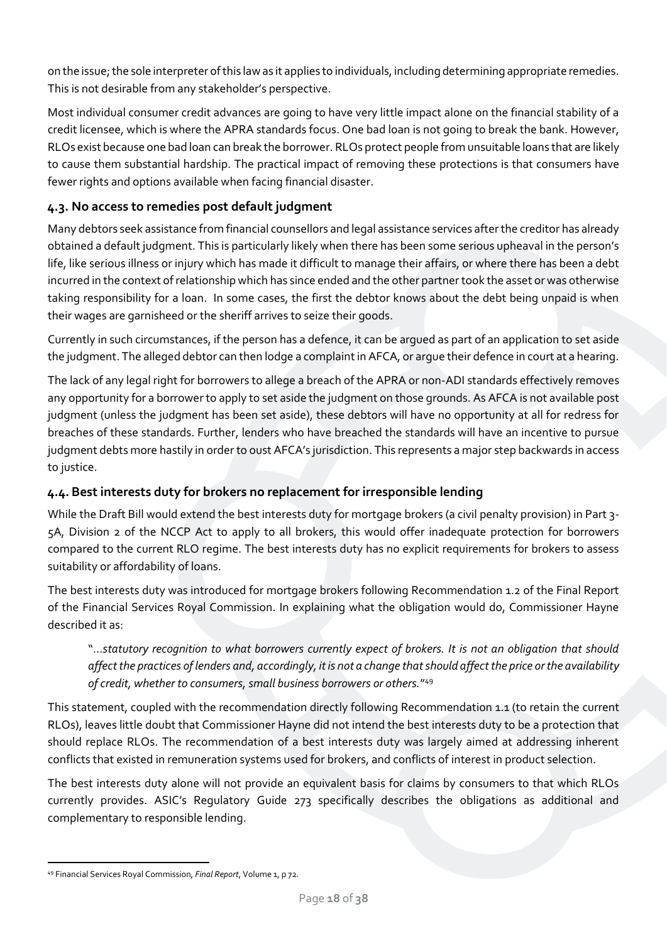on the issue; the sole interpreter of this law as it applies to individuals, including determining appropriate remedies. This is not desirable from any stakeholder's perspective.

Most individual consumer credit advances are going to have very little impact alone on the financial stability of a credit licensee, which is where the APRA standards focus. One bad loan is not going to break the bank. However, RLOs exist because one bad loan can break the borrower. RLOs protect people from unsuitable loans that are likely to cause them substantial hardship. The practical impact of removing these protections is that consumers have fewer rights and options available when facing financial disaster.

# <span id="page-17-0"></span>**4.3. No access to remedies post default judgment**

Many debtors seek assistance from financial counsellors and legal assistance services after the creditor has already obtained a default judgment. This is particularly likely when there has been some serious upheaval in the person's life, like serious illness or injury which has made it difficult to manage their affairs, or where there has been a debt incurred in the context of relationship which has since ended and the other partner took the asset or was otherwise taking responsibility for a loan. In some cases, the first the debtor knows about the debt being unpaid is when their wages are garnisheed or the sheriff arrives to seize their goods.

Currently in such circumstances, if the person has a defence, it can be argued as part of an application to set aside the judgment. The alleged debtor can then lodge a complaint in AFCA, or argue their defence in court at a hearing.

The lack of any legal right for borrowers to allege a breach of the APRA or non-ADI standards effectively removes any opportunity for a borrower to apply to set aside the judgment on those grounds. As AFCA is not available post judgment (unless the judgment has been set aside), these debtors will have no opportunity at all for redress for breaches of these standards. Further, lenders who have breached the standards will have an incentive to pursue judgment debts more hastily in order to oust AFCA's jurisdiction. This represents a major step backwards in access to justice.

# <span id="page-17-1"></span>**4.4. Best interests duty for brokers no replacement for irresponsible lending**

While the Draft Bill would extend the best interests duty for mortgage brokers (a civil penalty provision) in Part 3- 5A, Division 2 of the NCCP Act to apply to all brokers, this would offer inadequate protection for borrowers compared to the current RLO regime. The best interests duty has no explicit requirements for brokers to assess suitability or affordability of loans.

The best interests duty was introduced for mortgage brokers following Recommendation 1.2 of the Final Report of the Financial Services Royal Commission. In explaining what the obligation would do, Commissioner Hayne described it as:

"…*statutory recognition to what borrowers currently expect of brokers. It is not an obligation that should affect the practices of lenders and, accordingly, it is not a change that should affect the price or the availability of credit, whether to consumers, small business borrowers or others.*" 49

This statement, coupled with the recommendation directly following Recommendation 1.1 (to retain the current RLOs), leaves little doubt that Commissioner Hayne did not intend the best interests duty to be a protection that should replace RLOs. The recommendation of a best interests duty was largely aimed at addressing inherent conflicts that existed in remuneration systems used for brokers, and conflicts of interest in product selection.

The best interests duty alone will not provide an equivalent basis for claims by consumers to that which RLOs currently provides. ASIC's Regulatory Guide 273 specifically describes the obligations as additional and complementary to responsible lending.

<sup>49</sup> Financial Services Royal Commission, *Final Report*, Volume 1, p 72.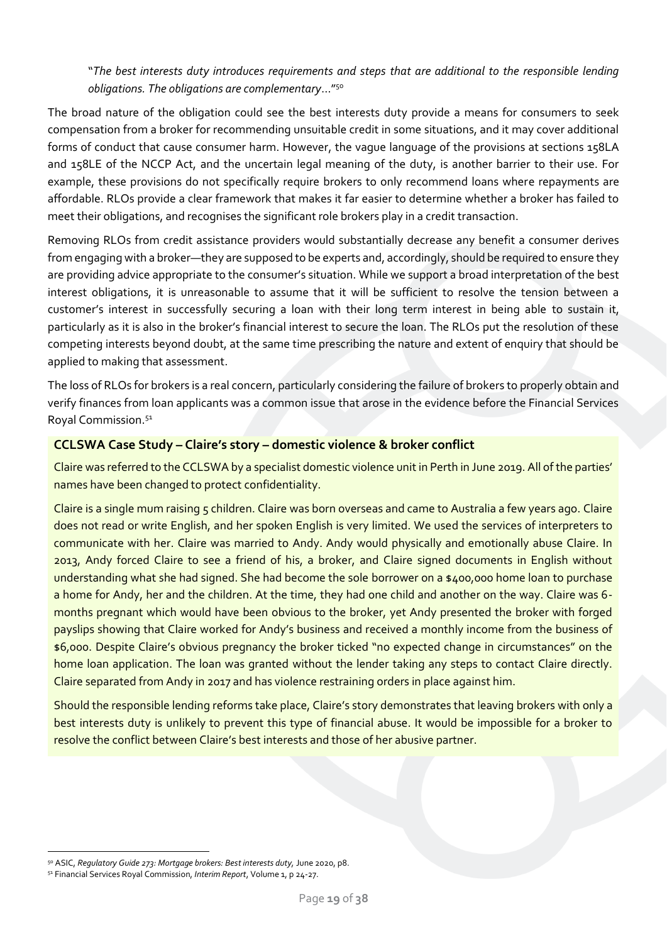"*The best interests duty introduces requirements and steps that are additional to the responsible lending obligations. The obligations are complementary*…"<sup>50</sup>

The broad nature of the obligation could see the best interests duty provide a means for consumers to seek compensation from a broker for recommending unsuitable credit in some situations, and it may cover additional forms of conduct that cause consumer harm. However, the vague language of the provisions at sections 158LA and 158LE of the NCCP Act, and the uncertain legal meaning of the duty, is another barrier to their use. For example, these provisions do not specifically require brokers to only recommend loans where repayments are affordable. RLOs provide a clear framework that makes it far easier to determine whether a broker has failed to meet their obligations, and recognises the significant role brokers play in a credit transaction.

Removing RLOs from credit assistance providers would substantially decrease any benefit a consumer derives from engaging with a broker—they are supposed to be experts and, accordingly, should be required to ensure they are providing advice appropriate to the consumer's situation. While we support a broad interpretation of the best interest obligations, it is unreasonable to assume that it will be sufficient to resolve the tension between a customer's interest in successfully securing a loan with their long term interest in being able to sustain it, particularly as it is also in the broker's financial interest to secure the loan. The RLOs put the resolution of these competing interests beyond doubt, at the same time prescribing the nature and extent of enquiry that should be applied to making that assessment.

The loss of RLOs for brokers is a real concern, particularly considering the failure of brokers to properly obtain and verify finances from loan applicants was a common issue that arose in the evidence before the Financial Services Royal Commission.<sup>51</sup>

#### **CCLSWA Case Study – Claire's story – domestic violence & broker conflict**

Claire was referred to the CCLSWA by a specialist domestic violence unit in Perth in June 2019. All of the parties' names have been changed to protect confidentiality.

Claire is a single mum raising 5 children. Claire was born overseas and came to Australia a few years ago. Claire does not read or write English, and her spoken English is very limited. We used the services of interpreters to communicate with her. Claire was married to Andy. Andy would physically and emotionally abuse Claire. In 2013, Andy forced Claire to see a friend of his, a broker, and Claire signed documents in English without understanding what she had signed. She had become the sole borrower on a \$400,000 home loan to purchase a home for Andy, her and the children. At the time, they had one child and another on the way. Claire was 6 months pregnant which would have been obvious to the broker, yet Andy presented the broker with forged payslips showing that Claire worked for Andy's business and received a monthly income from the business of \$6,000. Despite Claire's obvious pregnancy the broker ticked "no expected change in circumstances" on the home loan application. The loan was granted without the lender taking any steps to contact Claire directly. Claire separated from Andy in 2017 and has violence restraining orders in place against him.

Should the responsible lending reforms take place, Claire's story demonstrates that leaving brokers with only a best interests duty is unlikely to prevent this type of financial abuse. It would be impossible for a broker to resolve the conflict between Claire's best interests and those of her abusive partner.

<sup>50</sup> ASIC, *Regulatory Guide 273: Mortgage brokers: Best interests duty,* June 2020, p8.

<sup>51</sup> Financial Services Royal Commission, *Interim Report*, Volume 1, p 24-27.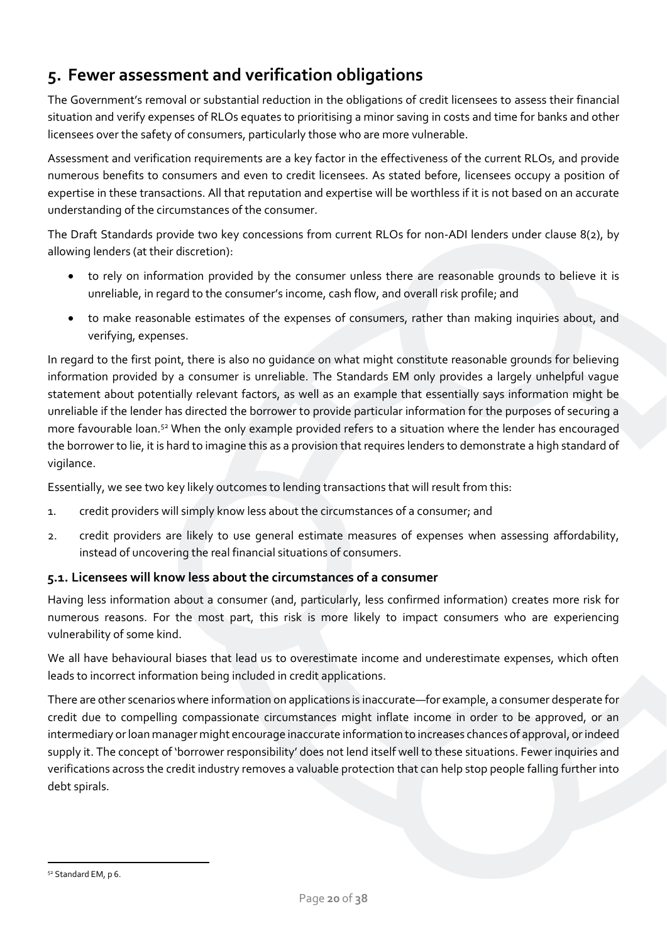# <span id="page-19-0"></span>**5. Fewer assessment and verification obligations**

The Government's removal or substantial reduction in the obligations of credit licensees to assess their financial situation and verify expenses of RLOs equates to prioritising a minor saving in costs and time for banks and other licensees over the safety of consumers, particularly those who are more vulnerable.

Assessment and verification requirements are a key factor in the effectiveness of the current RLOs, and provide numerous benefits to consumers and even to credit licensees. As stated before, licensees occupy a position of expertise in these transactions. All that reputation and expertise will be worthless if it is not based on an accurate understanding of the circumstances of the consumer.

The Draft Standards provide two key concessions from current RLOs for non-ADI lenders under clause 8(2), by allowing lenders (at their discretion):

- to rely on information provided by the consumer unless there are reasonable grounds to believe it is unreliable, in regard to the consumer's income, cash flow, and overall risk profile; and
- to make reasonable estimates of the expenses of consumers, rather than making inquiries about, and verifying, expenses.

In regard to the first point, there is also no guidance on what might constitute reasonable grounds for believing information provided by a consumer is unreliable. The Standards EM only provides a largely unhelpful vague statement about potentially relevant factors, as well as an example that essentially says information might be unreliable if the lender has directed the borrower to provide particular information for the purposes of securing a more favourable loan.<sup>52</sup> When the only example provided refers to a situation where the lender has encouraged the borrower to lie, it is hard to imagine this as a provision that requires lenders to demonstrate a high standard of vigilance.

Essentially, we see two key likely outcomes to lending transactions that will result from this:

- 1. credit providers will simply know less about the circumstances of a consumer; and
- 2. credit providers are likely to use general estimate measures of expenses when assessing affordability, instead of uncovering the real financial situations of consumers.

### <span id="page-19-1"></span>**5.1. Licensees will know less about the circumstances of a consumer**

Having less information about a consumer (and, particularly, less confirmed information) creates more risk for numerous reasons. For the most part, this risk is more likely to impact consumers who are experiencing vulnerability of some kind.

We all have behavioural biases that lead us to overestimate income and underestimate expenses, which often leads to incorrect information being included in credit applications.

There are other scenarios where information on applications is inaccurate—for example, a consumer desperate for credit due to compelling compassionate circumstances might inflate income in order to be approved, or an intermediary or loan manager might encourage inaccurate information to increases chances of approval, or indeed supply it. The concept of 'borrower responsibility' does not lend itself well to these situations. Fewer inquiries and verifications across the credit industry removes a valuable protection that can help stop people falling further into debt spirals.

<sup>52</sup> Standard EM, p 6.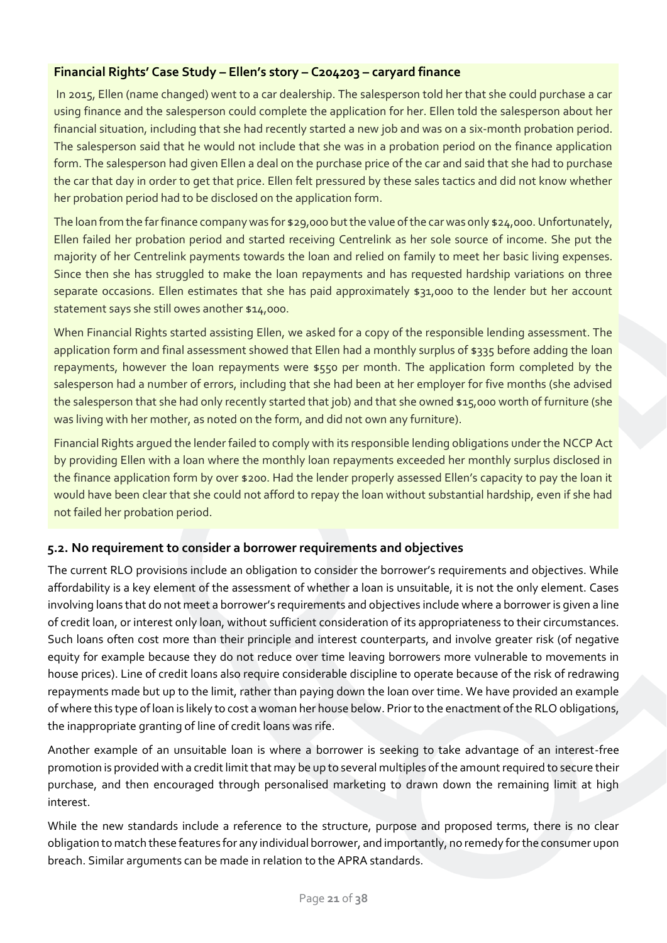# **Financial Rights' Case Study – Ellen's story – C204203 – caryard finance**

In 2015, Ellen (name changed) went to a car dealership. The salesperson told her that she could purchase a car using finance and the salesperson could complete the application for her. Ellen told the salesperson about her financial situation, including that she had recently started a new job and was on a six-month probation period. The salesperson said that he would not include that she was in a probation period on the finance application form. The salesperson had given Ellen a deal on the purchase price of the car and said that she had to purchase the car that day in order to get that price. Ellen felt pressured by these sales tactics and did not know whether her probation period had to be disclosed on the application form.

The loan from the far finance company was for \$29,000 but the value of the car was only \$24,000. Unfortunately, Ellen failed her probation period and started receiving Centrelink as her sole source of income. She put the majority of her Centrelink payments towards the loan and relied on family to meet her basic living expenses. Since then she has struggled to make the loan repayments and has requested hardship variations on three separate occasions. Ellen estimates that she has paid approximately \$31,000 to the lender but her account statement says she still owes another \$14,000.

When Financial Rights started assisting Ellen, we asked for a copy of the responsible lending assessment. The application form and final assessment showed that Ellen had a monthly surplus of \$335 before adding the loan repayments, however the loan repayments were \$550 per month. The application form completed by the salesperson had a number of errors, including that she had been at her employer for five months (she advised the salesperson that she had only recently started that job) and that she owned \$15,000 worth of furniture (she was living with her mother, as noted on the form, and did not own any furniture).

Financial Rights argued the lender failed to comply with its responsible lending obligations under the NCCP Act by providing Ellen with a loan where the monthly loan repayments exceeded her monthly surplus disclosed in the finance application form by over \$200. Had the lender properly assessed Ellen's capacity to pay the loan it would have been clear that she could not afford to repay the loan without substantial hardship, even if she had not failed her probation period.

# <span id="page-20-0"></span>**5.2. No requirement to consider a borrower requirements and objectives**

The current RLO provisions include an obligation to consider the borrower's requirements and objectives. While affordability is a key element of the assessment of whether a loan is unsuitable, it is not the only element. Cases involving loans that do not meet a borrower's requirements and objectives include where a borrower is given a line of credit loan, or interest only loan, without sufficient consideration of its appropriateness to their circumstances. Such loans often cost more than their principle and interest counterparts, and involve greater risk (of negative equity for example because they do not reduce over time leaving borrowers more vulnerable to movements in house prices). Line of credit loans also require considerable discipline to operate because of the risk of redrawing repayments made but up to the limit, rather than paying down the loan over time. We have provided an example of where this type of loan is likely to cost a woman her house below. Prior to the enactment of the RLO obligations, the inappropriate granting of line of credit loans was rife.

Another example of an unsuitable loan is where a borrower is seeking to take advantage of an interest-free promotion is provided with a credit limit that may be up to several multiples of the amount required to secure their purchase, and then encouraged through personalised marketing to drawn down the remaining limit at high interest.

While the new standards include a reference to the structure, purpose and proposed terms, there is no clear obligation to match these features for any individual borrower, and importantly, no remedy for the consumer upon breach. Similar arguments can be made in relation to the APRA standards.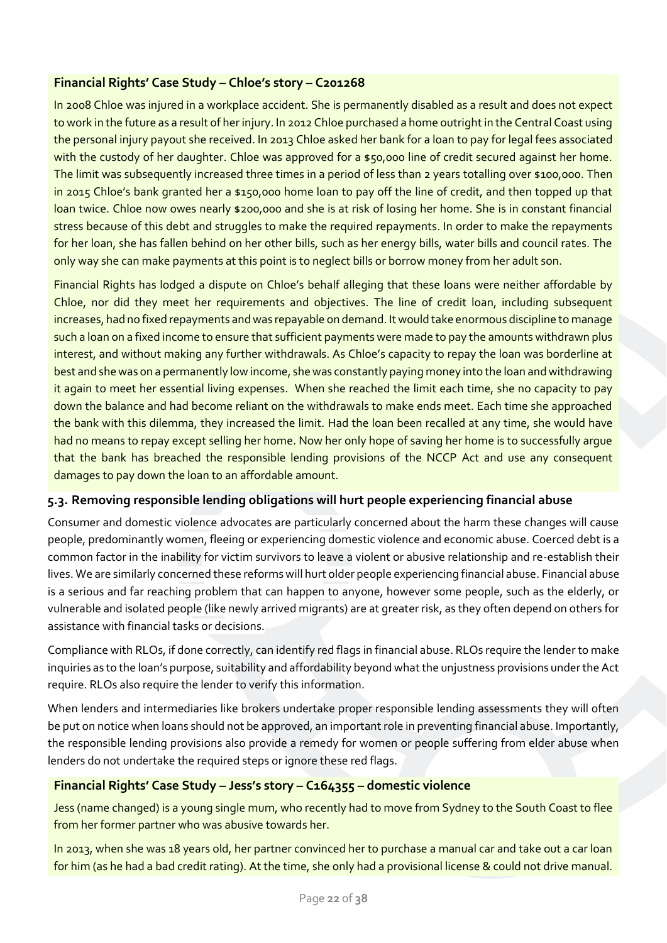# **Financial Rights' Case Study – Chloe's story – C201268**

In 2008 Chloe was injured in a workplace accident. She is permanently disabled as a result and does not expect to work in the future as a result of her injury. In 2012 Chloe purchased a home outright in the Central Coast using the personal injury payout she received. In 2013 Chloe asked her bank for a loan to pay for legal fees associated with the custody of her daughter. Chloe was approved for a \$50,000 line of credit secured against her home. The limit was subsequently increased three times in a period of less than 2 years totalling over \$100,000. Then in 2015 Chloe's bank granted her a \$150,000 home loan to pay off the line of credit, and then topped up that loan twice. Chloe now owes nearly \$200,000 and she is at risk of losing her home. She is in constant financial stress because of this debt and struggles to make the required repayments. In order to make the repayments for her loan, she has fallen behind on her other bills, such as her energy bills, water bills and council rates. The only way she can make payments at this point is to neglect bills or borrow money from her adult son.

Financial Rights has lodged a dispute on Chloe's behalf alleging that these loans were neither affordable by Chloe, nor did they meet her requirements and objectives. The line of credit loan, including subsequent increases, had no fixed repayments and was repayable on demand. It would take enormous discipline to manage such a loan on a fixed income to ensure that sufficient payments were made to pay the amounts withdrawn plus interest, and without making any further withdrawals. As Chloe's capacity to repay the loan was borderline at best and she was on a permanently low income, she was constantly paying money into the loan and withdrawing it again to meet her essential living expenses. When she reached the limit each time, she no capacity to pay down the balance and had become reliant on the withdrawals to make ends meet. Each time she approached the bank with this dilemma, they increased the limit. Had the loan been recalled at any time, she would have had no means to repay except selling her home. Now her only hope of saving her home is to successfully argue that the bank has breached the responsible lending provisions of the NCCP Act and use any consequent damages to pay down the loan to an affordable amount.

### <span id="page-21-0"></span>**5.3. Removing responsible lending obligations will hurt people experiencing financial abuse**

Consumer and domestic violence advocates are particularly concerned about the harm these changes will cause people, predominantly women, fleeing or experiencing domestic violence and economic abuse. Coerced debt is a common factor in the inability for victim survivors to leave a violent or abusive relationship and re-establish their lives. We are similarly concerned these reforms will hurt older people experiencing financial abuse. Financial abuse is a serious and far reaching problem that can happen to anyone, however some people, such as the elderly, or vulnerable and isolated people (like newly arrived migrants) are at greater risk, as they often depend on others for assistance with financial tasks or decisions.

Compliance with RLOs, if done correctly, can identify red flags in financial abuse. RLOs require the lender to make inquiries as to the loan's purpose, suitability and affordability beyond what the unjustness provisions under the Act require. RLOs also require the lender to verify this information.

When lenders and intermediaries like brokers undertake proper responsible lending assessments they will often be put on notice when loans should not be approved, an important role in preventing financial abuse. Importantly, the responsible lending provisions also provide a remedy for women or people suffering from elder abuse when lenders do not undertake the required steps or ignore these red flags.

### **Financial Rights' Case Study – Jess's story – C164355 – domestic violence**

Jess (name changed) is a young single mum, who recently had to move from Sydney to the South Coast to flee from her former partner who was abusive towards her.

In 2013, when she was 18 years old, her partner convinced her to purchase a manual car and take out a car loan for him (as he had a bad credit rating). At the time, she only had a provisional license & could not drive manual.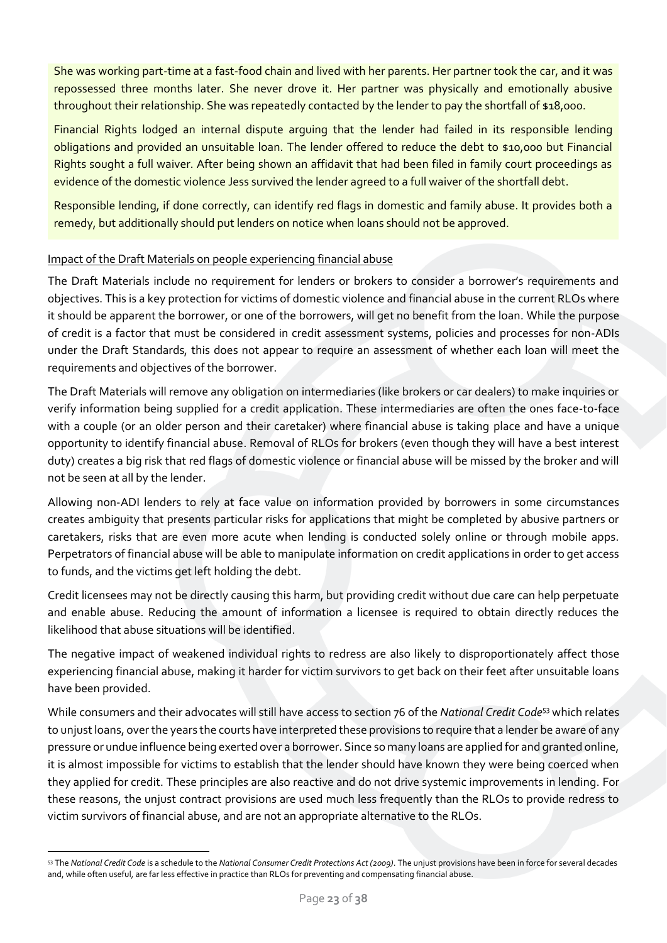She was working part-time at a fast-food chain and lived with her parents. Her partner took the car, and it was repossessed three months later. She never drove it. Her partner was physically and emotionally abusive throughout their relationship. She was repeatedly contacted by the lender to pay the shortfall of \$18,000.

Financial Rights lodged an internal dispute arguing that the lender had failed in its responsible lending obligations and provided an unsuitable loan. The lender offered to reduce the debt to \$10,000 but Financial Rights sought a full waiver. After being shown an affidavit that had been filed in family court proceedings as evidence of the domestic violence Jess survived the lender agreed to a full waiver of the shortfall debt.

Responsible lending, if done correctly, can identify red flags in domestic and family abuse. It provides both a remedy, but additionally should put lenders on notice when loans should not be approved.

### Impact of the Draft Materials on people experiencing financial abuse

The Draft Materials include no requirement for lenders or brokers to consider a borrower's requirements and objectives. This is a key protection for victims of domestic violence and financial abuse in the current RLOs where it should be apparent the borrower, or one of the borrowers, will get no benefit from the loan. While the purpose of credit is a factor that must be considered in credit assessment systems, policies and processes for non-ADIs under the Draft Standards, this does not appear to require an assessment of whether each loan will meet the requirements and objectives of the borrower.

The Draft Materials will remove any obligation on intermediaries (like brokers or car dealers) to make inquiries or verify information being supplied for a credit application. These intermediaries are often the ones face-to-face with a couple (or an older person and their caretaker) where financial abuse is taking place and have a unique opportunity to identify financial abuse. Removal of RLOs for brokers (even though they will have a best interest duty) creates a big risk that red flags of domestic violence or financial abuse will be missed by the broker and will not be seen at all by the lender.

Allowing non-ADI lenders to rely at face value on information provided by borrowers in some circumstances creates ambiguity that presents particular risks for applications that might be completed by abusive partners or caretakers, risks that are even more acute when lending is conducted solely online or through mobile apps. Perpetrators of financial abuse will be able to manipulate information on credit applications in order to get access to funds, and the victims get left holding the debt.

Credit licensees may not be directly causing this harm, but providing credit without due care can help perpetuate and enable abuse. Reducing the amount of information a licensee is required to obtain directly reduces the likelihood that abuse situations will be identified.

The negative impact of weakened individual rights to redress are also likely to disproportionately affect those experiencing financial abuse, making it harder for victim survivors to get back on their feet after unsuitable loans have been provided.

While consumers and their advocates will still have access to section 76 of the *National Credit Code*<sup>53</sup> which relates to unjust loans, over the years the courts have interpreted these provisions to require that a lender be aware of any pressure or undue influence being exerted over a borrower. Since so many loans are applied for and granted online, it is almost impossible for victims to establish that the lender should have known they were being coerced when they applied for credit. These principles are also reactive and do not drive systemic improvements in lending. For these reasons, the unjust contract provisions are used much less frequently than the RLOs to provide redress to victim survivors of financial abuse, and are not an appropriate alternative to the RLOs.

<sup>53</sup> The *National Credit Code* is a schedule to the *National Consumer Credit Protections Act (2009)*. The unjust provisions have been in force for several decades and, while often useful, are far less effective in practice than RLOs for preventing and compensating financial abuse.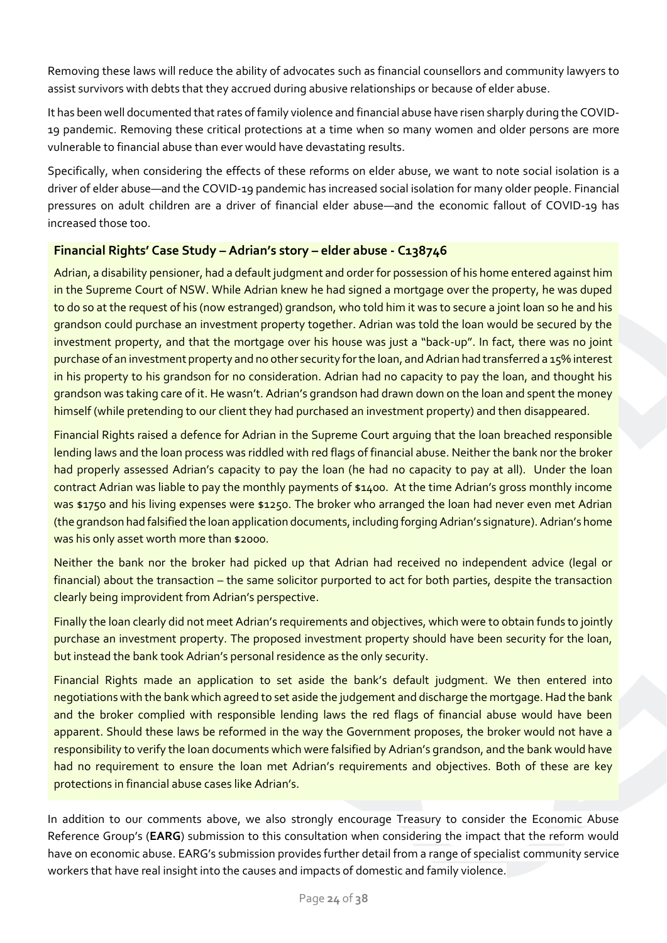Removing these laws will reduce the ability of advocates such as financial counsellors and community lawyers to assist survivors with debts that they accrued during abusive relationships or because of elder abuse.

It has been well documented that rates of family violence and financial abuse have risen sharply during the COVID-19 pandemic. Removing these critical protections at a time when so many women and older persons are more vulnerable to financial abuse than ever would have devastating results.

Specifically, when considering the effects of these reforms on elder abuse, we want to note social isolation is a driver of elder abuse—and the COVID-19 pandemic has increased social isolation for many older people. Financial pressures on adult children are a driver of financial elder abuse—and the economic fallout of COVID-19 has increased those too.

# **Financial Rights' Case Study – Adrian's story – elder abuse - C138746**

Adrian, a disability pensioner, had a default judgment and order for possession of his home entered against him in the Supreme Court of NSW. While Adrian knew he had signed a mortgage over the property, he was duped to do so at the request of his (now estranged) grandson, who told him it was to secure a joint loan so he and his grandson could purchase an investment property together. Adrian was told the loan would be secured by the investment property, and that the mortgage over his house was just a "back-up". In fact, there was no joint purchase of an investment property and no other security for the loan, and Adrian had transferred a 15% interest in his property to his grandson for no consideration. Adrian had no capacity to pay the loan, and thought his grandson was taking care of it. He wasn't. Adrian's grandson had drawn down on the loan and spent the money himself (while pretending to our client they had purchased an investment property) and then disappeared.

Financial Rights raised a defence for Adrian in the Supreme Court arguing that the loan breached responsible lending laws and the loan process was riddled with red flags of financial abuse. Neither the bank nor the broker had properly assessed Adrian's capacity to pay the loan (he had no capacity to pay at all). Under the loan contract Adrian was liable to pay the monthly payments of \$1400. At the time Adrian's gross monthly income was \$1750 and his living expenses were \$1250. The broker who arranged the loan had never even met Adrian (the grandson had falsified the loan application documents, including forging Adrian's signature). Adrian's home was his only asset worth more than \$2000.

Neither the bank nor the broker had picked up that Adrian had received no independent advice (legal or financial) about the transaction – the same solicitor purported to act for both parties, despite the transaction clearly being improvident from Adrian's perspective.

Finally the loan clearly did not meet Adrian's requirements and objectives, which were to obtain funds to jointly purchase an investment property. The proposed investment property should have been security for the loan, but instead the bank took Adrian's personal residence as the only security.

Financial Rights made an application to set aside the bank's default judgment. We then entered into negotiations with the bank which agreed to set aside the judgement and discharge the mortgage. Had the bank and the broker complied with responsible lending laws the red flags of financial abuse would have been apparent. Should these laws be reformed in the way the Government proposes, the broker would not have a responsibility to verify the loan documents which were falsified by Adrian's grandson, and the bank would have had no requirement to ensure the loan met Adrian's requirements and objectives. Both of these are key protections in financial abuse cases like Adrian's.

In addition to our comments above, we also strongly encourage Treasury to consider the Economic Abuse Reference Group's (**EARG**) submission to this consultation when considering the impact that the reform would have on economic abuse. EARG's submission provides further detail from a range of specialist community service workers that have real insight into the causes and impacts of domestic and family violence.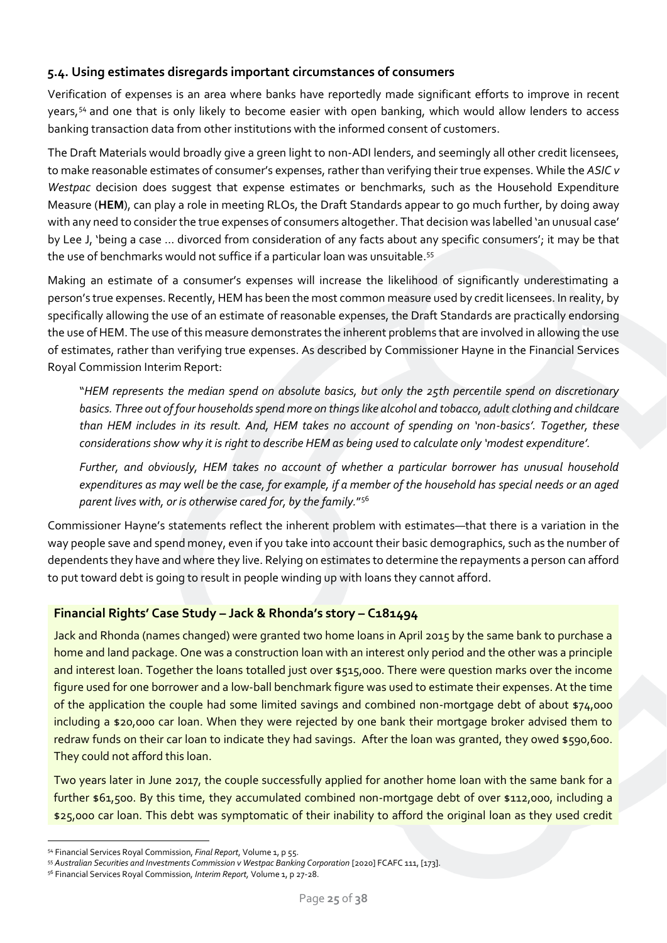# <span id="page-24-0"></span>**5.4. Using estimates disregards important circumstances of consumers**

Verification of expenses is an area where banks have reportedly made significant efforts to improve in recent years,<sup>54</sup> and one that is only likely to become easier with open banking, which would allow lenders to access banking transaction data from other institutions with the informed consent of customers.

The Draft Materials would broadly give a green light to non-ADI lenders, and seemingly all other credit licensees, to make reasonable estimates of consumer's expenses, rather than verifying their true expenses. While the *ASIC v Westpac* decision does suggest that expense estimates or benchmarks, such as the Household Expenditure Measure (**HEM**), can play a role in meeting RLOs, the Draft Standards appear to go much further, by doing away with any need to consider the true expenses of consumers altogether. That decision was labelled 'an unusual case' by Lee J, 'being a case … divorced from consideration of any facts about any specific consumers'; it may be that the use of benchmarks would not suffice if a particular loan was unsuitable.<sup>55</sup>

Making an estimate of a consumer's expenses will increase the likelihood of significantly underestimating a person's true expenses. Recently, HEM has been the most common measure used by credit licensees. In reality, by specifically allowing the use of an estimate of reasonable expenses, the Draft Standards are practically endorsing the use of HEM. The use of this measure demonstrates the inherent problems that are involved in allowing the use of estimates, rather than verifying true expenses. As described by Commissioner Hayne in the Financial Services Royal Commission Interim Report:

"*HEM represents the median spend on absolute basics, but only the 25th percentile spend on discretionary*  basics. Three out of four households spend more on things like alcohol and tobacco, adult clothing and childcare *than HEM includes in its result. And, HEM takes no account of spending on 'non-basics'. Together, these considerations show why it is right to describe HEM as being used to calculate only 'modest expenditure'.*

*Further, and obviously, HEM takes no account of whether a particular borrower has unusual household expenditures as may well be the case, for example, if a member of the household has special needs or an aged parent lives with, or is otherwise cared for, by the family.*" 56

Commissioner Hayne's statements reflect the inherent problem with estimates—that there is a variation in the way people save and spend money, even if you take into account their basic demographics, such as the number of dependents they have and where they live. Relying on estimates to determine the repayments a person can afford to put toward debt is going to result in people winding up with loans they cannot afford.

### **Financial Rights' Case Study – Jack & Rhonda's story – C181494**

Jack and Rhonda (names changed) were granted two home loans in April 2015 by the same bank to purchase a home and land package. One was a construction loan with an interest only period and the other was a principle and interest loan. Together the loans totalled just over \$515,000. There were question marks over the income figure used for one borrower and a low-ball benchmark figure was used to estimate their expenses. At the time of the application the couple had some limited savings and combined non-mortgage debt of about \$74,000 including a \$20,000 car loan. When they were rejected by one bank their mortgage broker advised them to redraw funds on their car loan to indicate they had savings. After the loan was granted, they owed \$590,600. They could not afford this loan.

Two years later in June 2017, the couple successfully applied for another home loan with the same bank for a further \$61,500. By this time, they accumulated combined non-mortgage debt of over \$112,000, including a \$25,000 car loan. This debt was symptomatic of their inability to afford the original loan as they used credit

<sup>54</sup> Financial Services Royal Commission, *Final Report*, Volume 1, p 55.

<sup>55</sup> Australian Securities and Investments Commission v Westpac Banking Corporation [2020] FCAFC 111, [173].

<sup>56</sup> Financial Services Royal Commission, *Interim Report,* Volume 1, p 27-28.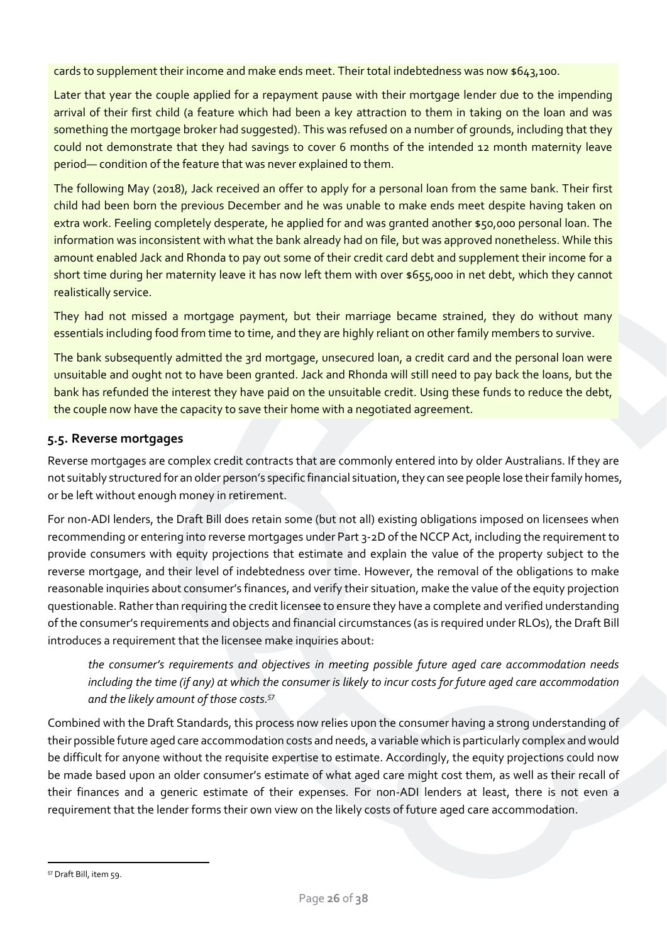cards to supplement their income and make ends meet. Their total indebtedness was now \$643,100.

Later that year the couple applied for a repayment pause with their mortgage lender due to the impending arrival of their first child (a feature which had been a key attraction to them in taking on the loan and was something the mortgage broker had suggested). This was refused on a number of grounds, including that they could not demonstrate that they had savings to cover 6 months of the intended 12 month maternity leave period— condition of the feature that was never explained to them.

The following May (2018), Jack received an offer to apply for a personal loan from the same bank. Their first child had been born the previous December and he was unable to make ends meet despite having taken on extra work. Feeling completely desperate, he applied for and was granted another \$50,000 personal loan. The information was inconsistent with what the bank already had on file, but was approved nonetheless. While this amount enabled Jack and Rhonda to pay out some of their credit card debt and supplement their income for a short time during her maternity leave it has now left them with over \$655,000 in net debt, which they cannot realistically service.

They had not missed a mortgage payment, but their marriage became strained, they do without many essentials including food from time to time, and they are highly reliant on other family members to survive.

The bank subsequently admitted the 3rd mortgage, unsecured loan, a credit card and the personal loan were unsuitable and ought not to have been granted. Jack and Rhonda will still need to pay back the loans, but the bank has refunded the interest they have paid on the unsuitable credit. Using these funds to reduce the debt, the couple now have the capacity to save their home with a negotiated agreement.

### <span id="page-25-0"></span>**5.5. Reverse mortgages**

Reverse mortgages are complex credit contracts that are commonly entered into by older Australians. If they are not suitably structured for an older person's specific financial situation, they can see people lose their family homes, or be left without enough money in retirement.

For non-ADI lenders, the Draft Bill does retain some (but not all) existing obligations imposed on licensees when recommending or entering into reverse mortgages under Part 3-2D of the NCCP Act, including the requirement to provide consumers with equity projections that estimate and explain the value of the property subject to the reverse mortgage, and their level of indebtedness over time. However, the removal of the obligations to make reasonable inquiries about consumer's finances, and verify their situation, make the value of the equity projection questionable. Rather than requiring the credit licensee to ensure they have a complete and verified understanding of the consumer's requirements and objects and financial circumstances (as is required under RLOs), the Draft Bill introduces a requirement that the licensee make inquiries about:

*the consumer's requirements and objectives in meeting possible future aged care accommodation needs including the time (if any) at which the consumer is likely to incur costs for future aged care accommodation and the likely amount of those costs. 57*

Combined with the Draft Standards, this process now relies upon the consumer having a strong understanding of their possible future aged care accommodation costs and needs, a variable which is particularly complex and would be difficult for anyone without the requisite expertise to estimate. Accordingly, the equity projections could now be made based upon an older consumer's estimate of what aged care might cost them, as well as their recall of their finances and a generic estimate of their expenses. For non-ADI lenders at least, there is not even a requirement that the lender forms their own view on the likely costs of future aged care accommodation.

<sup>57</sup> Draft Bill, item 59.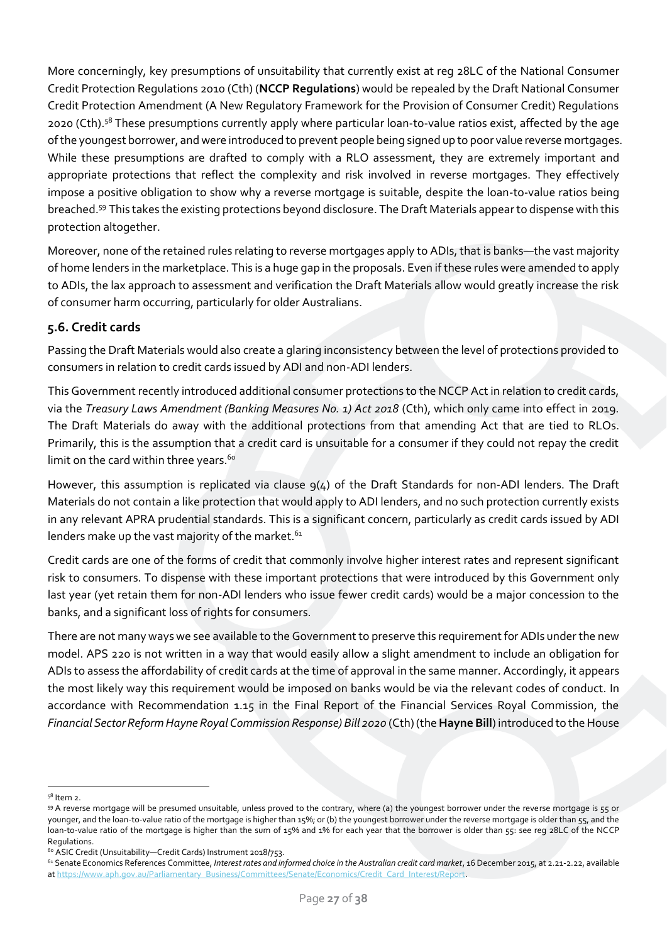More concerningly, key presumptions of unsuitability that currently exist at reg 28LC of the National Consumer Credit Protection Regulations 2010 (Cth) (**NCCP Regulations**) would be repealed by the Draft National Consumer Credit Protection Amendment (A New Regulatory Framework for the Provision of Consumer Credit) Regulations 2020 (Cth).<sup>58</sup> These presumptions currently apply where particular loan-to-value ratios exist, affected by the age of the youngest borrower, and were introduced to prevent people being signed up to poor value reverse mortgages. While these presumptions are drafted to comply with a RLO assessment, they are extremely important and appropriate protections that reflect the complexity and risk involved in reverse mortgages. They effectively impose a positive obligation to show why a reverse mortgage is suitable, despite the loan-to-value ratios being breached.<sup>59</sup> This takes the existing protections beyond disclosure. The Draft Materials appear to dispense with this protection altogether.

Moreover, none of the retained rules relating to reverse mortgages apply to ADIs, that is banks—the vast majority of home lenders in the marketplace. This is a huge gap in the proposals. Even if these rules were amended to apply to ADIs, the lax approach to assessment and verification the Draft Materials allow would greatly increase the risk of consumer harm occurring, particularly for older Australians.

# <span id="page-26-0"></span>**5.6. Credit cards**

Passing the Draft Materials would also create a glaring inconsistency between the level of protections provided to consumers in relation to credit cards issued by ADI and non-ADI lenders.

This Government recently introduced additional consumer protections to the NCCP Act in relation to credit cards, via the *Treasury Laws Amendment (Banking Measures No. 1) Act 2018* (Cth), which only came into effect in 2019. The Draft Materials do away with the additional protections from that amending Act that are tied to RLOs. Primarily, this is the assumption that a credit card is unsuitable for a consumer if they could not repay the credit limit on the card within three years.<sup>60</sup>

However, this assumption is replicated via clause  $q(4)$  of the Draft Standards for non-ADI lenders. The Draft Materials do not contain a like protection that would apply to ADI lenders, and no such protection currently exists in any relevant APRA prudential standards. This is a significant concern, particularly as credit cards issued by ADI lenders make up the vast majority of the market.<sup>61</sup>

Credit cards are one of the forms of credit that commonly involve higher interest rates and represent significant risk to consumers. To dispense with these important protections that were introduced by this Government only last year (yet retain them for non-ADI lenders who issue fewer credit cards) would be a major concession to the banks, and a significant loss of rights for consumers.

There are not many ways we see available to the Government to preserve this requirement for ADIs under the new model. APS 220 is not written in a way that would easily allow a slight amendment to include an obligation for ADIs to assess the affordability of credit cards at the time of approval in the same manner. Accordingly, it appears the most likely way this requirement would be imposed on banks would be via the relevant codes of conduct. In accordance with Recommendation 1.15 in the Final Report of the Financial Services Royal Commission, the *Financial Sector Reform Hayne Royal Commission Response) Bill 2020* (Cth) (the **Hayne Bill**) introduced to the House

<sup>58</sup> Item 2.

<sup>59</sup> A reverse mortgage will be presumed unsuitable, unless proved to the contrary, where (a) the youngest borrower under the reverse mortgage is 55 or younger, and the loan-to-value ratio of the mortgage is higher than 15%; or (b) the youngest borrower under the reverse mortgage is older than 55, and the loan-to-value ratio of the mortgage is higher than the sum of 15% and 1% for each year that the borrower is older than 55: see reg 28LC of the NCCP Regulations.

<sup>60</sup> ASIC Credit (Unsuitability—Credit Cards) Instrument 2018/753.

<sup>&</sup>lt;sup>61</sup> Senate Economics References Committee, Interest rates and informed choice in the Australian credit card market, 16 December 2015, at 2.21-2.22, available a[t https://www.aph.gov.au/Parliamentary\\_Business/Committees/Senate/Economics/Credit\\_Card\\_Interest/Report.](https://www.aph.gov.au/Parliamentary_Business/Committees/Senate/Economics/Credit_Card_Interest/Report)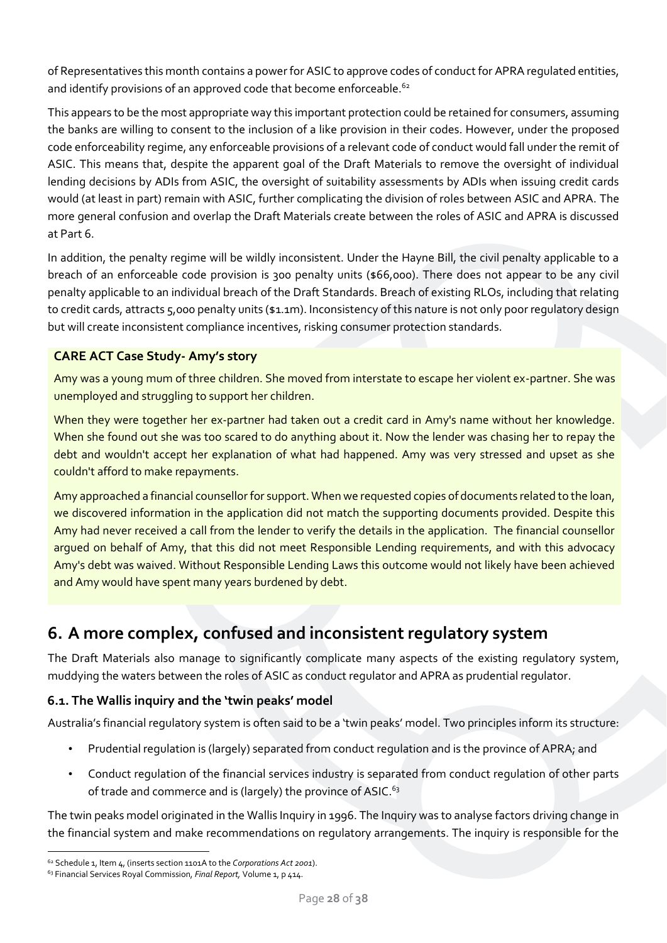of Representatives this month contains a power for ASIC to approve codes of conduct for APRA regulated entities, and identify provisions of an approved code that become enforceable.<sup>62</sup>

This appears to be the most appropriate way this important protection could be retained for consumers, assuming the banks are willing to consent to the inclusion of a like provision in their codes. However, under the proposed code enforceability regime, any enforceable provisions of a relevant code of conduct would fall under the remit of ASIC. This means that, despite the apparent goal of the Draft Materials to remove the oversight of individual lending decisions by ADIs from ASIC, the oversight of suitability assessments by ADIs when issuing credit cards would (at least in part) remain with ASIC, further complicating the division of roles between ASIC and APRA. The more general confusion and overlap the Draft Materials create between the roles of ASIC and APRA is discussed at Part 6.

In addition, the penalty regime will be wildly inconsistent. Under the Hayne Bill, the civil penalty applicable to a breach of an enforceable code provision is 300 penalty units (\$66,000). There does not appear to be any civil penalty applicable to an individual breach of the Draft Standards. Breach of existing RLOs, including that relating to credit cards, attracts 5,000 penalty units (\$1.1m). Inconsistency of this nature is not only poor regulatory design but will create inconsistent compliance incentives, risking consumer protection standards.

# **CARE ACT Case Study- Amy's story**

Amy was a young mum of three children. She moved from interstate to escape her violent ex-partner. She was unemployed and struggling to support her children.

When they were together her ex-partner had taken out a credit card in Amy's name without her knowledge. When she found out she was too scared to do anything about it. Now the lender was chasing her to repay the debt and wouldn't accept her explanation of what had happened. Amy was very stressed and upset as she couldn't afford to make repayments.

Amy approached a financial counsellor for support. When we requested copies of documents related to the loan, we discovered information in the application did not match the supporting documents provided. Despite this Amy had never received a call from the lender to verify the details in the application. The financial counsellor argued on behalf of Amy, that this did not meet Responsible Lending requirements, and with this advocacy Amy's debt was waived. Without Responsible Lending Laws this outcome would not likely have been achieved and Amy would have spent many years burdened by debt.

# <span id="page-27-0"></span>**6. A more complex, confused and inconsistent regulatory system**

The Draft Materials also manage to significantly complicate many aspects of the existing regulatory system, muddying the waters between the roles of ASIC as conduct regulator and APRA as prudential regulator.

### <span id="page-27-1"></span>**6.1. The Wallis inquiry and the 'twin peaks' model**

Australia's financial regulatory system is often said to be a 'twin peaks' model. Two principles inform its structure:

- Prudential regulation is (largely) separated from conduct regulation and is the province of APRA; and
- Conduct regulation of the financial services industry is separated from conduct regulation of other parts of trade and commerce and is (largely) the province of ASIC.<sup>63</sup>

The twin peaks model originated in the Wallis Inquiry in 1996. The Inquiry was to analyse factors driving change in the financial system and make recommendations on regulatory arrangements. The inquiry is responsible for the

<sup>62</sup> Schedule 1, Item 4, (inserts section 1101A to the *Corporations Act 2001*).

<sup>63</sup> Financial Services Royal Commission, *Final Report,* Volume 1, p 414.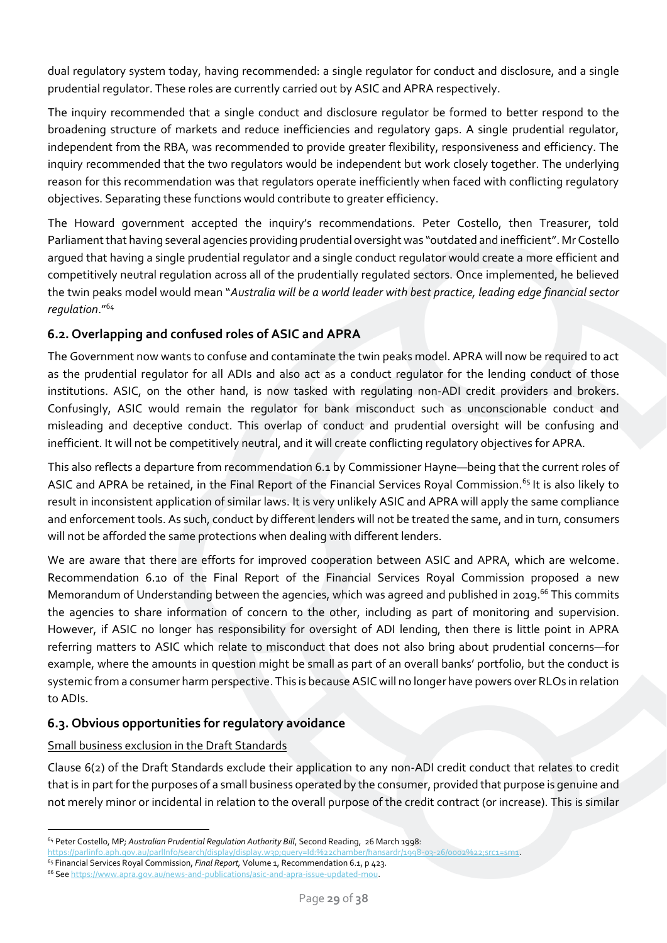dual regulatory system today, having recommended: a single regulator for conduct and disclosure, and a single prudential regulator. These roles are currently carried out by ASIC and APRA respectively.

The inquiry recommended that a single conduct and disclosure regulator be formed to better respond to the broadening structure of markets and reduce inefficiencies and regulatory gaps. A single prudential regulator, independent from the RBA, was recommended to provide greater flexibility, responsiveness and efficiency. The inquiry recommended that the two regulators would be independent but work closely together. The underlying reason for this recommendation was that regulators operate inefficiently when faced with conflicting regulatory objectives. Separating these functions would contribute to greater efficiency.

The Howard government accepted the inquiry's recommendations. Peter Costello, then Treasurer, told Parliament that having several agencies providing prudential oversight was "outdated and inefficient". Mr Costello argued that having a single prudential regulator and a single conduct regulator would create a more efficient and competitively neutral regulation across all of the prudentially regulated sectors. Once implemented, he believed the twin peaks model would mean "*Australia will be a world leader with best practice, leading edge financial sector regulation*." 64

# <span id="page-28-0"></span>**6.2. Overlapping and confused roles of ASIC and APRA**

The Government now wants to confuse and contaminate the twin peaks model. APRA will now be required to act as the prudential regulator for all ADIs and also act as a conduct regulator for the lending conduct of those institutions. ASIC, on the other hand, is now tasked with regulating non-ADI credit providers and brokers. Confusingly, ASIC would remain the regulator for bank misconduct such as unconscionable conduct and misleading and deceptive conduct. This overlap of conduct and prudential oversight will be confusing and inefficient. It will not be competitively neutral, and it will create conflicting regulatory objectives for APRA.

This also reflects a departure from recommendation 6.1 by Commissioner Hayne—being that the current roles of ASIC and APRA be retained, in the Final Report of the Financial Services Royal Commission.<sup>65</sup> It is also likely to result in inconsistent application of similar laws. It is very unlikely ASIC and APRA will apply the same compliance and enforcement tools. As such, conduct by different lenders will not be treated the same, and in turn, consumers will not be afforded the same protections when dealing with different lenders.

We are aware that there are efforts for improved cooperation between ASIC and APRA, which are welcome. Recommendation 6.10 of the Final Report of the Financial Services Royal Commission proposed a new Memorandum of Understanding between the agencies, which was agreed and published in 2019.<sup>66</sup> This commits the agencies to share information of concern to the other, including as part of monitoring and supervision. However, if ASIC no longer has responsibility for oversight of ADI lending, then there is little point in APRA referring matters to ASIC which relate to misconduct that does not also bring about prudential concerns—for example, where the amounts in question might be small as part of an overall banks' portfolio, but the conduct is systemic from a consumer harm perspective. This is because ASIC will no longer have powers over RLOs in relation to ADIs.

### <span id="page-28-1"></span>**6.3. Obvious opportunities for regulatory avoidance**

### Small business exclusion in the Draft Standards

Clause 6(2) of the Draft Standards exclude their application to any non-ADI credit conduct that relates to credit that is in part for the purposes of a small business operated by the consumer, provided that purpose is genuine and not merely minor or incidental in relation to the overall purpose of the credit contract (or increase). This is similar

<sup>64</sup> Peter Costello, MP; *Australian Prudential Regulation Authority Bill*, Second Reading, 26 March 1998:

[https://parlinfo.aph.gov.au/parlInfo/search/display/display.w3p;query=Id:%22chamber/hansardr/1998-03-26/0002%22;src1=sm1.](https://parlinfo.aph.gov.au/parlInfo/search/display/display.w3p;query=Id:%22chamber/hansardr/1998-03-26/0002%22;src1=sm1) 

<sup>65</sup> Financial Services Royal Commission, *Final Report,* Volume 1, Recommendation 6.1, p 423.

<sup>66</sup> Se[e https://www.apra.gov.au/news-and-publications/asic-and-apra-issue-updated-mou.](https://www.apra.gov.au/news-and-publications/asic-and-apra-issue-updated-mou)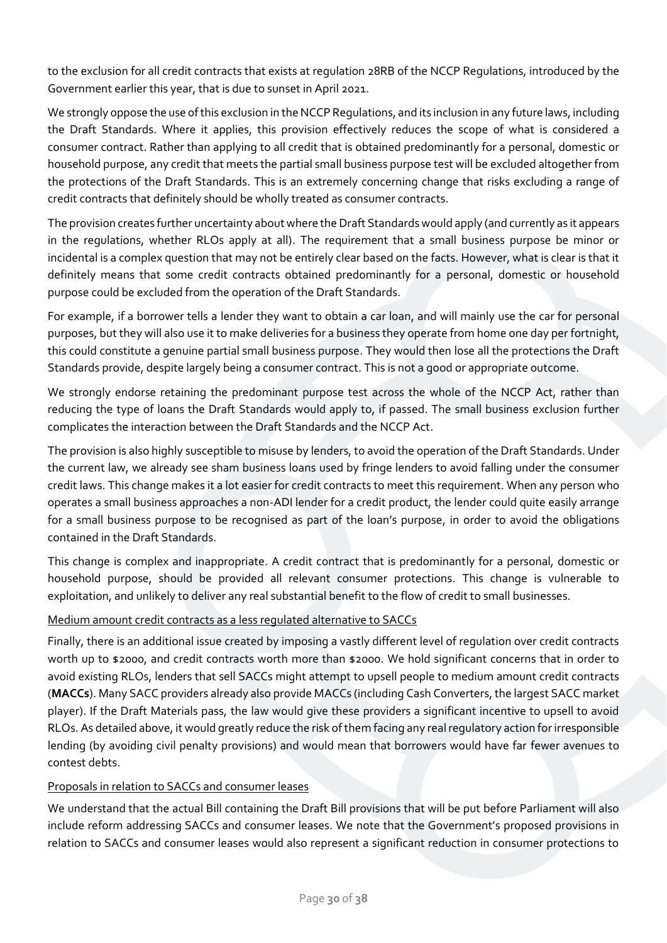to the exclusion for all credit contracts that exists at regulation 28RB of the NCCP Regulations, introduced by the Government earlier this year, that is due to sunset in April 2021.

We strongly oppose the use of this exclusion in the NCCP Regulations, and its inclusion in any future laws, including the Draft Standards. Where it applies, this provision effectively reduces the scope of what is considered a consumer contract. Rather than applying to all credit that is obtained predominantly for a personal, domestic or household purpose, any credit that meets the partial small business purpose test will be excluded altogether from the protections of the Draft Standards. This is an extremely concerning change that risks excluding a range of credit contracts that definitely should be wholly treated as consumer contracts.

The provision creates further uncertainty about where the Draft Standards would apply (and currently as it appears in the regulations, whether RLOs apply at all). The requirement that a small business purpose be minor or incidental is a complex question that may not be entirely clear based on the facts. However, what is clear is that it definitely means that some credit contracts obtained predominantly for a personal, domestic or household purpose could be excluded from the operation of the Draft Standards.

For example, if a borrower tells a lender they want to obtain a car loan, and will mainly use the car for personal purposes, but they will also use it to make deliveries for a business they operate from home one day per fortnight, this could constitute a genuine partial small business purpose. They would then lose all the protections the Draft Standards provide, despite largely being a consumer contract. This is not a good or appropriate outcome.

We strongly endorse retaining the predominant purpose test across the whole of the NCCP Act, rather than reducing the type of loans the Draft Standards would apply to, if passed. The small business exclusion further complicates the interaction between the Draft Standards and the NCCP Act.

The provision is also highly susceptible to misuse by lenders, to avoid the operation of the Draft Standards. Under the current law, we already see sham business loans used by fringe lenders to avoid falling under the consumer credit laws. This change makes it a lot easier for credit contracts to meet this requirement. When any person who operates a small business approaches a non-ADI lender for a credit product, the lender could quite easily arrange for a small business purpose to be recognised as part of the loan's purpose, in order to avoid the obligations contained in the Draft Standards.

This change is complex and inappropriate. A credit contract that is predominantly for a personal, domestic or household purpose, should be provided all relevant consumer protections. This change is vulnerable to exploitation, and unlikely to deliver any real substantial benefit to the flow of credit to small businesses.

### Medium amount credit contracts as a less regulated alternative to SACCs

Finally, there is an additional issue created by imposing a vastly different level of regulation over credit contracts worth up to \$2000, and credit contracts worth more than \$2000. We hold significant concerns that in order to avoid existing RLOs, lenders that sell SACCs might attempt to upsell people to medium amount credit contracts (**MACCs**). Many SACC providers already also provide MACCs (including Cash Converters, the largest SACC market player). If the Draft Materials pass, the law would give these providers a significant incentive to upsell to avoid RLOs. As detailed above, it would greatly reduce the risk of them facing any real regulatory action for irresponsible lending (by avoiding civil penalty provisions) and would mean that borrowers would have far fewer avenues to contest debts.

#### Proposals in relation to SACCs and consumer leases

We understand that the actual Bill containing the Draft Bill provisions that will be put before Parliament will also include reform addressing SACCs and consumer leases. We note that the Government's proposed provisions in relation to SACCs and consumer leases would also represent a significant reduction in consumer protections to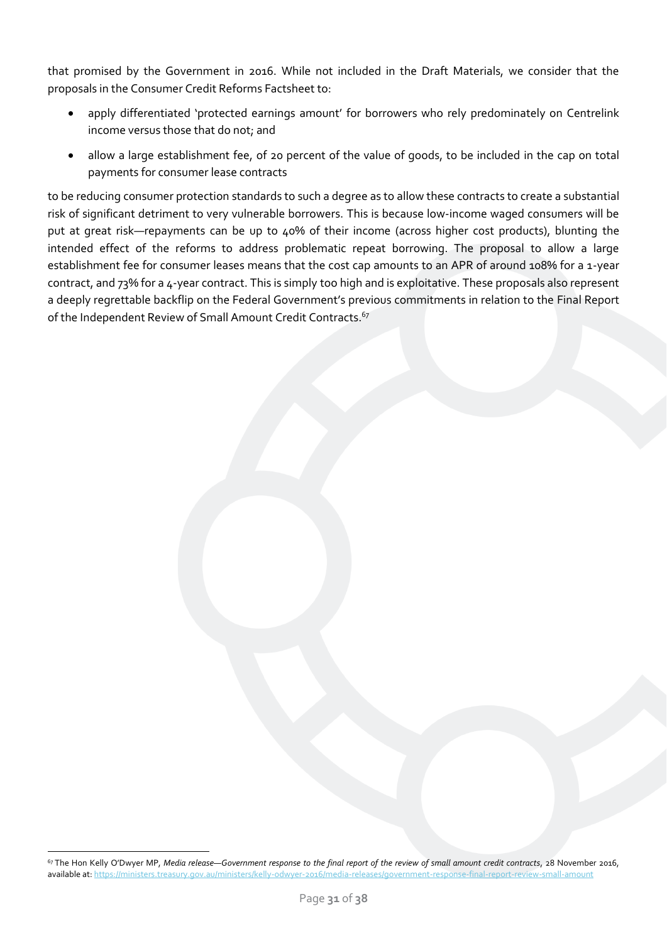that promised by the Government in 2016. While not included in the Draft Materials, we consider that the proposals in the Consumer Credit Reforms Factsheet to:

- apply differentiated 'protected earnings amount' for borrowers who rely predominately on Centrelink income versus those that do not; and
- allow a large establishment fee, of 20 percent of the value of goods, to be included in the cap on total payments for consumer lease contracts

to be reducing consumer protection standards to such a degree as to allow these contracts to create a substantial risk of significant detriment to very vulnerable borrowers. This is because low-income waged consumers will be put at great risk—repayments can be up to 40% of their income (across higher cost products), blunting the intended effect of the reforms to address problematic repeat borrowing. The proposal to allow a large establishment fee for consumer leases means that the cost cap amounts to an APR of around 108% for a 1-year contract, and 73% for a 4-year contract. This is simply too high and is exploitative. These proposals also represent a deeply regrettable backflip on the Federal Government's previous commitments in relation to the Final Report of the Independent Review of Small Amount Credit Contracts.<sup>67</sup>

<sup>67</sup> The Hon Kelly O'Dwyer MP, *Media release—Government response to the final report of the review of small amount credit contracts*, 28 November 2016, available at[: https://ministers.treasury.gov.au/ministers/kelly-odwyer-2016/media-releases/government-response-final-report-review-small-amount](https://ministers.treasury.gov.au/ministers/kelly-odwyer-2016/media-releases/government-response-final-report-review-small-amount)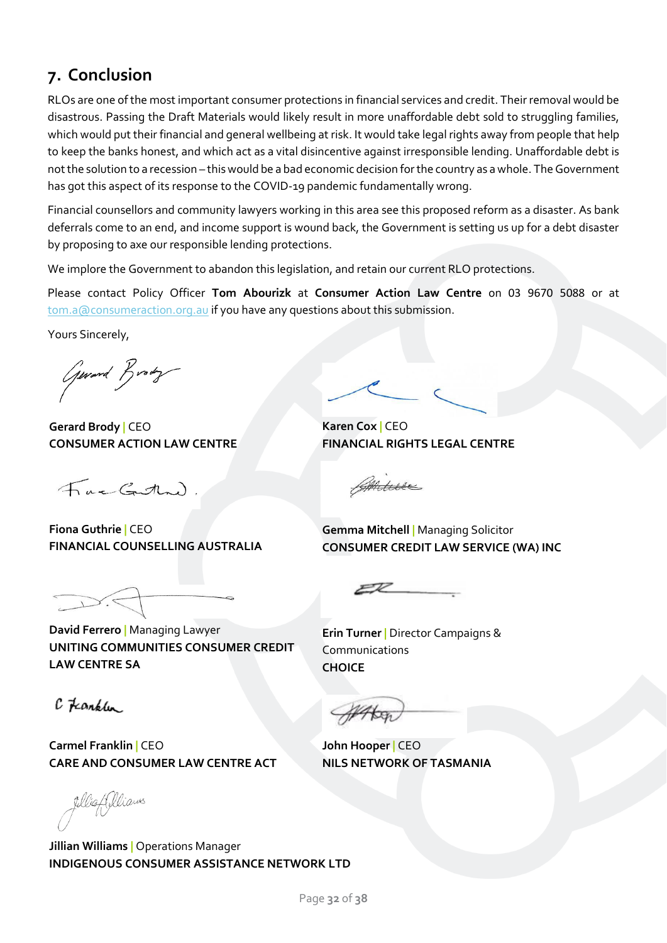# **7. Conclusion**

RLOs are one of the most important consumer protections in financial services and credit. Their removal would be disastrous. Passing the Draft Materials would likely result in more unaffordable debt sold to struggling families, which would put their financial and general wellbeing at risk. It would take legal rights away from people that help to keep the banks honest, and which act as a vital disincentive against irresponsible lending. Unaffordable debt is not the solution to a recession – this would be a bad economic decision for the country as a whole. The Government has got this aspect of its response to the COVID-19 pandemic fundamentally wrong.

Financial counsellors and community lawyers working in this area see this proposed reform as a disaster. As bank deferrals come to an end, and income support is wound back, the Government is setting us up for a debt disaster by proposing to axe our responsible lending protections.

We implore the Government to abandon this legislation, and retain our current RLO protections.

Please contact Policy Officer **Tom Abourizk** at **Consumer Action Law Centre** on 03 9670 5088 or at [tom.a@consumeraction.org.au](mailto:tom.a@consumeraction.org.au) if you have any questions about this submission.

Yours Sincerely,

Gerard Brody

**Gerard Brody |** CEO **CONSUMER ACTION LAW CENTRE**

Fac Guttand

**Fiona Guthrie |** CEO **FINANCIAL COUNSELLING AUSTRALIA**

**David Ferrero |** Managing Lawyer **UNITING COMMUNITIES CONSUMER CREDIT LAW CENTRE SA**

**Carmel Franklin |** CEO **CARE AND CONSUMER LAW CENTRE ACT**

fillightellians

 $c$   $t$   $anb$ 

**Jillian Williams |** Operations Manager **INDIGENOUS CONSUMER ASSISTANCE NETWORK LTD**

**Karen Cox |** CEO **FINANCIAL RIGHTS LEGAL CENTRE**

Anice

**Gemma Mitchell |** Managing Solicitor **CONSUMER CREDIT LAW SERVICE (WA) INC**

 $EZ$ 

**Erin Turner |** Director Campaigns & Communications **CHOICE**

**John Hooper |** CEO **NILS NETWORK OF TASMANIA**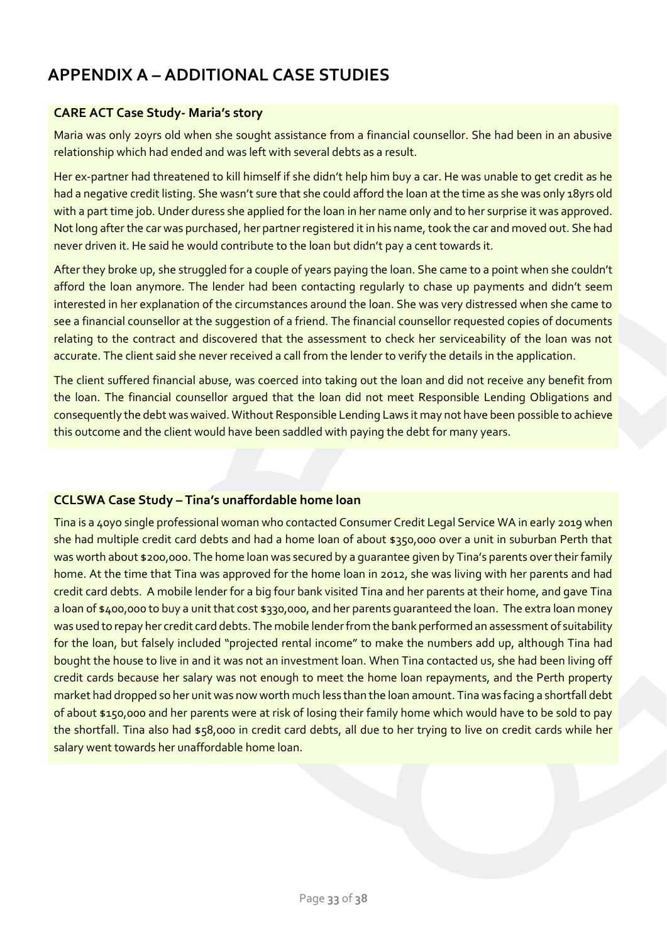# <span id="page-32-0"></span>**APPENDIX A – ADDITIONAL CASE STUDIES**

### **CARE ACT Case Study- Maria's story**

Maria was only 20yrs old when she sought assistance from a financial counsellor. She had been in an abusive relationship which had ended and was left with several debts as a result.

Her ex-partner had threatened to kill himself if she didn't help him buy a car. He was unable to get credit as he had a negative credit listing. She wasn't sure that she could afford the loan at the time as she was only 18yrs old with a part time job. Under duress she applied for the loan in her name only and to her surprise it was approved. Not long after the car was purchased, her partner registered it in his name, took the car and moved out. She had never driven it. He said he would contribute to the loan but didn't pay a cent towards it.

After they broke up, she struggled for a couple of years paying the loan. She came to a point when she couldn't afford the loan anymore. The lender had been contacting regularly to chase up payments and didn't seem interested in her explanation of the circumstances around the loan. She was very distressed when she came to see a financial counsellor at the suggestion of a friend. The financial counsellor requested copies of documents relating to the contract and discovered that the assessment to check her serviceability of the loan was not accurate. The client said she never received a call from the lender to verify the details in the application.

The client suffered financial abuse, was coerced into taking out the loan and did not receive any benefit from the loan. The financial counsellor argued that the loan did not meet Responsible Lending Obligations and consequently the debt was waived. Without Responsible Lending Laws it may not have been possible to achieve this outcome and the client would have been saddled with paying the debt for many years.

### **CCLSWA Case Study – Tina's unaffordable home loan**

Tina is a 40yo single professional woman who contacted Consumer Credit Legal Service WA in early 2019 when she had multiple credit card debts and had a home loan of about \$350,000 over a unit in suburban Perth that was worth about \$200,000. The home loan was secured by a quarantee given by Tina's parents over their family home. At the time that Tina was approved for the home loan in 2012, she was living with her parents and had credit card debts. A mobile lender for a big four bank visited Tina and her parents at their home, and gave Tina a loan of \$400,000 to buy a unit that cost \$330,000, and her parents guaranteed the loan. The extra loan money was used to repay her credit card debts. The mobile lender from the bank performed an assessment of suitability for the loan, but falsely included "projected rental income" to make the numbers add up, although Tina had bought the house to live in and it was not an investment loan. When Tina contacted us, she had been living off credit cards because her salary was not enough to meet the home loan repayments, and the Perth property market had dropped so her unit was now worth much less than the loan amount. Tina was facing a shortfall debt of about \$150,000 and her parents were at risk of losing their family home which would have to be sold to pay the shortfall. Tina also had \$58,000 in credit card debts, all due to her trying to live on credit cards while her salary went towards her unaffordable home loan.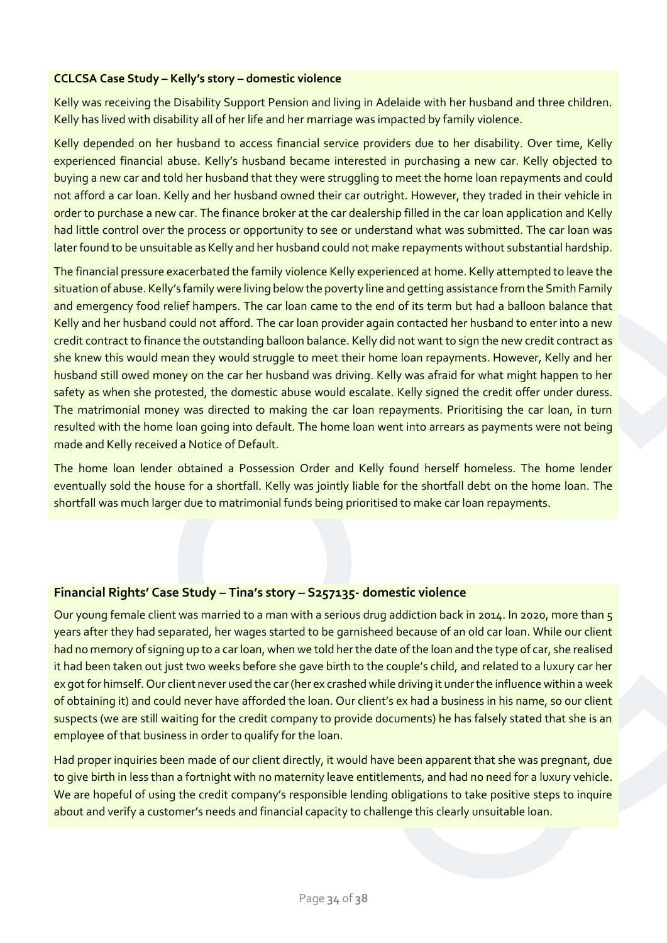#### **CCLCSA Case Study – Kelly's story – domestic violence**

Kelly was receiving the Disability Support Pension and living in Adelaide with her husband and three children. Kelly has lived with disability all of her life and her marriage was impacted by family violence.

Kelly depended on her husband to access financial service providers due to her disability. Over time, Kelly experienced financial abuse. Kelly's husband became interested in purchasing a new car. Kelly objected to buying a new car and told her husband that they were struggling to meet the home loan repayments and could not afford a car loan. Kelly and her husband owned their car outright. However, they traded in their vehicle in order to purchase a new car. The finance broker at the car dealership filled in the car loan application and Kelly had little control over the process or opportunity to see or understand what was submitted. The car loan was later found to be unsuitable as Kelly and her husband could not make repayments without substantial hardship.

The financial pressure exacerbated the family violence Kelly experienced at home. Kelly attempted to leave the situation of abuse. Kelly's family were living below the poverty line and getting assistance from the Smith Family and emergency food relief hampers. The car loan came to the end of its term but had a balloon balance that Kelly and her husband could not afford. The car loan provider again contacted her husband to enter into a new credit contract to finance the outstanding balloon balance. Kelly did not want to sign the new credit contract as she knew this would mean they would struggle to meet their home loan repayments. However, Kelly and her husband still owed money on the car her husband was driving. Kelly was afraid for what might happen to her safety as when she protested, the domestic abuse would escalate. Kelly signed the credit offer under duress. The matrimonial money was directed to making the car loan repayments. Prioritising the car loan, in turn resulted with the home loan going into default. The home loan went into arrears as payments were not being made and Kelly received a Notice of Default.

The home loan lender obtained a Possession Order and Kelly found herself homeless. The home lender eventually sold the house for a shortfall. Kelly was jointly liable for the shortfall debt on the home loan. The shortfall was much larger due to matrimonial funds being prioritised to make car loan repayments.

### **Financial Rights' Case Study – Tina's story – S257135- domestic violence**

Our young female client was married to a man with a serious drug addiction back in 2014. In 2020, more than 5 years after they had separated, her wages started to be garnisheed because of an old car loan. While our client had no memory of signing up to a car loan, when we told her the date of the loan and the type of car, she realised it had been taken out just two weeks before she gave birth to the couple's child, and related to a luxury car her ex got for himself. Our client never used the car (her ex crashed while driving it under the influence within a week of obtaining it) and could never have afforded the loan. Our client's ex had a business in his name, so our client suspects (we are still waiting for the credit company to provide documents) he has falsely stated that she is an employee of that business in order to qualify for the loan.

Had proper inquiries been made of our client directly, it would have been apparent that she was pregnant, due to give birth in less than a fortnight with no maternity leave entitlements, and had no need for a luxury vehicle. We are hopeful of using the credit company's responsible lending obligations to take positive steps to inquire about and verify a customer's needs and financial capacity to challenge this clearly unsuitable loan.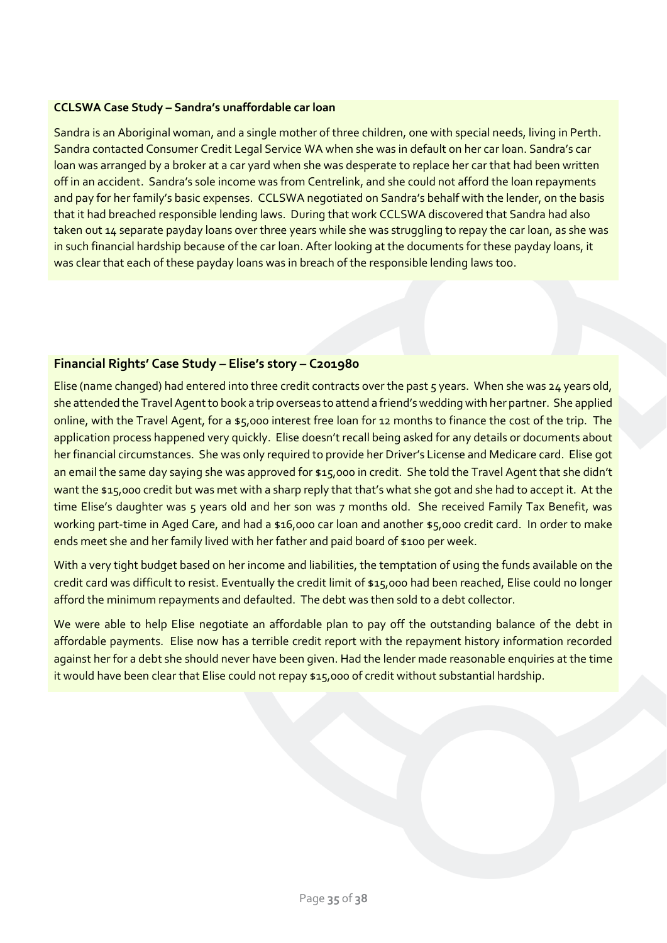#### **CCLSWA Case Study – Sandra's unaffordable car loan**

Sandra is an Aboriginal woman, and a single mother of three children, one with special needs, living in Perth. Sandra contacted Consumer Credit Legal Service WA when she was in default on her car loan. Sandra's car loan was arranged by a broker at a car yard when she was desperate to replace her car that had been written off in an accident. Sandra's sole income was from Centrelink, and she could not afford the loan repayments and pay for her family's basic expenses. CCLSWA negotiated on Sandra's behalf with the lender, on the basis that it had breached responsible lending laws. During that work CCLSWA discovered that Sandra had also taken out 14 separate payday loans over three years while she was struggling to repay the car loan, as she was in such financial hardship because of the car loan. After looking at the documents for these payday loans, it was clear that each of these payday loans was in breach of the responsible lending laws too.

### **Financial Rights' Case Study – Elise's story – C201980**

Elise (name changed) had entered into three credit contracts over the past 5 years. When she was 24 years old, she attended the Travel Agent to book a trip overseas to attend a friend's wedding with her partner. She applied online, with the Travel Agent, for a \$5,000 interest free loan for 12 months to finance the cost of the trip. The application process happened very quickly. Elise doesn't recall being asked for any details or documents about her financial circumstances. She was only required to provide her Driver's License and Medicare card. Elise got an email the same day saying she was approved for \$15,000 in credit. She told the Travel Agent that she didn't want the \$15,000 credit but was met with a sharp reply that that's what she got and she had to accept it. At the time Elise's daughter was 5 years old and her son was 7 months old. She received Family Tax Benefit, was working part-time in Aged Care, and had a \$16,000 car loan and another \$5,000 credit card. In order to make ends meet she and her family lived with her father and paid board of \$100 per week.

With a very tight budget based on her income and liabilities, the temptation of using the funds available on the credit card was difficult to resist. Eventually the credit limit of \$15,000 had been reached, Elise could no longer afford the minimum repayments and defaulted. The debt was then sold to a debt collector.

We were able to help Elise negotiate an affordable plan to pay off the outstanding balance of the debt in affordable payments. Elise now has a terrible credit report with the repayment history information recorded against her for a debt she should never have been given. Had the lender made reasonable enquiries at the time it would have been clear that Elise could not repay \$15,000 of credit without substantial hardship.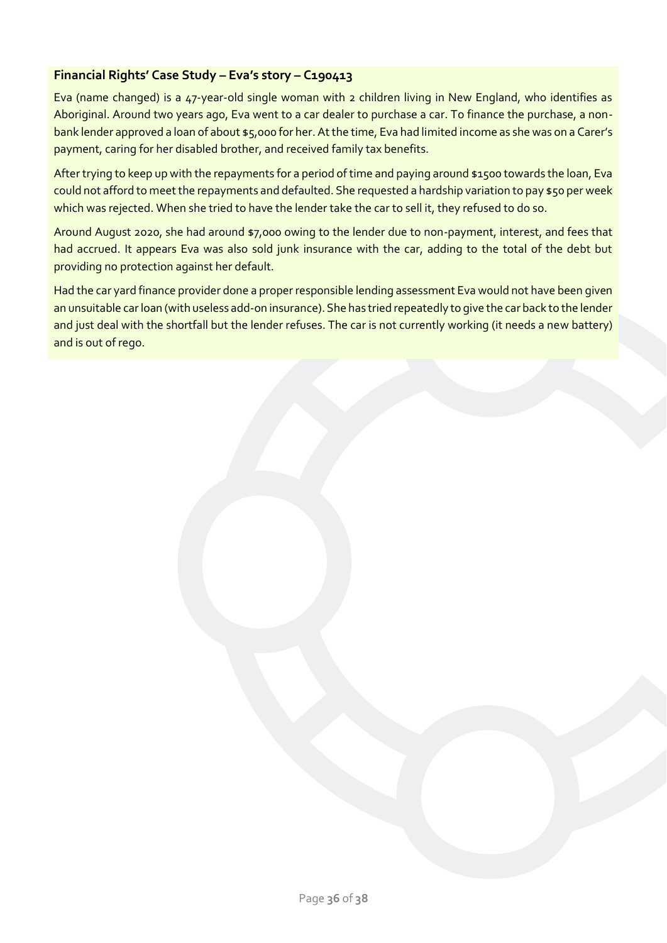# **Financial Rights' Case Study – Eva's story – C190413**

Eva (name changed) is a 47-year-old single woman with 2 children living in New England, who identifies as Aboriginal. Around two years ago, Eva went to a car dealer to purchase a car. To finance the purchase, a nonbank lender approved a loan of about \$5,000 for her. At the time, Eva had limited income as she was on a Carer's payment, caring for her disabled brother, and received family tax benefits.

After trying to keep up with the repayments for a period of time and paying around \$1500 towards the loan, Eva could not afford to meet the repayments and defaulted. She requested a hardship variation to pay \$50 per week which was rejected. When she tried to have the lender take the car to sell it, they refused to do so.

Around August 2020, she had around \$7,000 owing to the lender due to non-payment, interest, and fees that had accrued. It appears Eva was also sold junk insurance with the car, adding to the total of the debt but providing no protection against her default.

Had the car yard finance provider done a proper responsible lending assessment Eva would not have been given an unsuitable car loan (with useless add-on insurance). She has tried repeatedly to give the car back to the lender and just deal with the shortfall but the lender refuses. The car is not currently working (it needs a new battery) and is out of rego.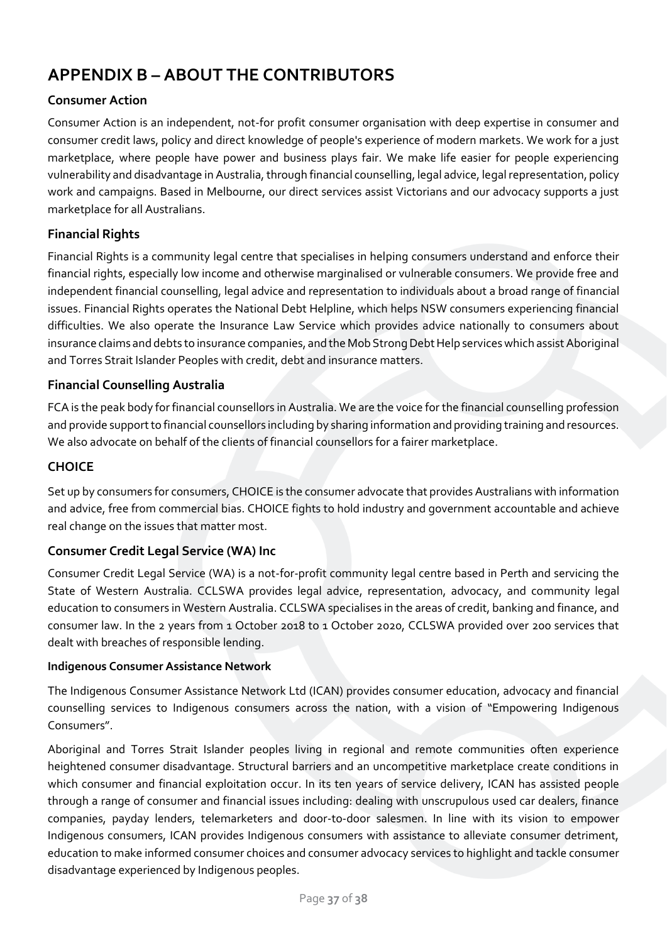# <span id="page-36-0"></span>**APPENDIX B – ABOUT THE CONTRIBUTORS**

# **Consumer Action**

Consumer Action is an independent, not-for profit consumer organisation with deep expertise in consumer and consumer credit laws, policy and direct knowledge of people's experience of modern markets. We work for a just marketplace, where people have power and business plays fair. We make life easier for people experiencing vulnerability and disadvantage in Australia, through financial counselling, legal advice, legal representation, policy work and campaigns. Based in Melbourne, our direct services assist Victorians and our advocacy supports a just marketplace for all Australians.

# **Financial Rights**

Financial Rights is a community legal centre that specialises in helping consumers understand and enforce their financial rights, especially low income and otherwise marginalised or vulnerable consumers. We provide free and independent financial counselling, legal advice and representation to individuals about a broad range of financial issues. Financial Rights operates the National Debt Helpline, which helps NSW consumers experiencing financial difficulties. We also operate the Insurance Law Service which provides advice nationally to consumers about insurance claims and debts to insurance companies, and the Mob Strong Debt Help services which assist Aboriginal and Torres Strait Islander Peoples with credit, debt and insurance matters.

### **Financial Counselling Australia**

FCA is the peak body for financial counsellors in Australia. We are the voice for the financial counselling profession and provide support to financial counsellors including by sharing information and providing training and resources. We also advocate on behalf of the clients of financial counsellors for a fairer marketplace.

#### **CHOICE**

Set up by consumers for consumers, CHOICE is the consumer advocate that provides Australians with information and advice, free from commercial bias. CHOICE fights to hold industry and government accountable and achieve real change on the issues that matter most.

### **Consumer Credit Legal Service (WA) Inc**

Consumer Credit Legal Service (WA) is a not-for-profit community legal centre based in Perth and servicing the State of Western Australia. CCLSWA provides legal advice, representation, advocacy, and community legal education to consumers in Western Australia. CCLSWA specialises in the areas of credit, banking and finance, and consumer law. In the 2 years from 1 October 2018 to 1 October 2020, CCLSWA provided over 200 services that dealt with breaches of responsible lending.

#### **Indigenous Consumer Assistance Network**

The Indigenous Consumer Assistance Network Ltd (ICAN) provides consumer education, advocacy and financial counselling services to Indigenous consumers across the nation, with a vision of "Empowering Indigenous Consumers".

Aboriginal and Torres Strait Islander peoples living in regional and remote communities often experience heightened consumer disadvantage. Structural barriers and an uncompetitive marketplace create conditions in which consumer and financial exploitation occur. In its ten years of service delivery, ICAN has assisted people through a range of consumer and financial issues including: dealing with unscrupulous used car dealers, finance companies, payday lenders, telemarketers and door-to-door salesmen. In line with its vision to empower Indigenous consumers, ICAN provides Indigenous consumers with assistance to alleviate consumer detriment, education to make informed consumer choices and consumer advocacy services to highlight and tackle consumer disadvantage experienced by Indigenous peoples.